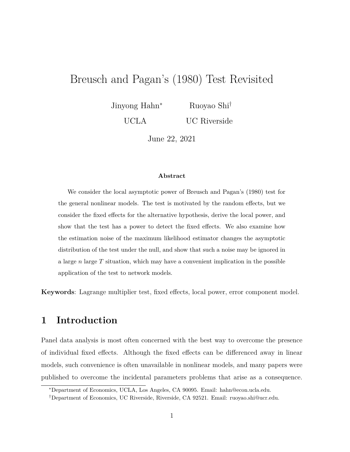# Breusch and Pagan's (1980) Test Revisited

Jinyong Hahn<sup>∗</sup> Ruoyao Shi†

> UCLA UC Riverside

> > June 22, 2021

#### **Abstract**

We consider the local asymptotic power of Breusch and Pagan's (1980) test for the general nonlinear models. The test is motivated by the random effects, but we consider the fixed effects for the alternative hypothesis, derive the local power, and show that the test has a power to detect the fixed effects. We also examine how the estimation noise of the maximum likelihood estimator changes the asymptotic distribution of the test under the null, and show that such a noise may be ignored in a large *n* large *T* situation, which may have a convenient implication in the possible application of the test to network models.

**Keywords**: Lagrange multiplier test, fixed effects, local power, error component model.

## **1 Introduction**

Panel data analysis is most often concerned with the best way to overcome the presence of individual fixed effects. Although the fixed effects can be differenced away in linear models, such convenience is often unavailable in nonlinear models, and many papers were published to overcome the incidental parameters problems that arise as a consequence.

<sup>∗</sup>Department of Economics, UCLA, Los Angeles, CA 90095. Email: hahn@econ.ucla.edu.

<sup>†</sup>Department of Economics, UC Riverside, Riverside, CA 92521. Email: ruoyao.shi@ucr.edu.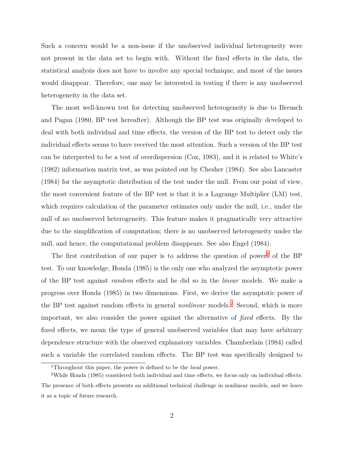Such a concern would be a non-issue if the unobserved individual heterogeneity were not present in the data set to begin with. Without the fixed effects in the data, the statistical analysis does not have to involve any special technique, and most of the issues would disappear. Therefore, one may be interested in testing if there is any unobserved heterogeneity in the data set.

The most well-known test for detecting unobserved heterogeneity is due to Breusch and Pagan (1980, BP test hereafter). Although the BP test was originally developed to deal with both individual and time effects, the version of the BP test to detect only the individual effects seems to have received the most attention. Such a version of the BP test can be interpreted to be a test of overdispersion (Cox, 1983), and it is related to White's (1982) information matrix test, as was pointed out by Chesher (1984). See also Lancaster (1984) for the asymptotic distribution of the test under the null. From our point of view, the most convenient feature of the BP test is that it is a Lagrange Multiplier (LM) test, which requires calculation of the parameter estimates only under the null, i.e., under the null of no unobserved heterogeneity. This feature makes it pragmatically very attractive due to the simplification of computation; there is no unobserved heterogeneity under the null, and hence, the computational problem disappears. See also Engel (1984).

The first contribution of our paper is to address the question of power<sup>1</sup> of the BP test. To our knowledge, Honda (1985) is the only one who analyzed the asymptotic power of the BP test against *random* effects and he did so in the *linear* models. We make a progress over Honda (1985) in two dimensions. First, we derive the asymptotic power of the BP test against random effects in general *nonlinear* models.2 Second, which is more important, we also consider the power against the alternative of *fixed* effects. By the fixed effects, we mean the type of general unobserved variables that may have arbitrary dependence structure with the observed explanatory variables. Chamberlain (1984) called such a variable the correlated random effects. The BP test was specifically designed to

<sup>1</sup>Throughout this paper, the power is defined to be the *local* power.

<sup>2</sup>While Honda (1985) considered both individual and time effects, we focus only on individual effects. The presence of both effects presents an additional technical challenge in nonlinear models, and we leave it as a topic of future research.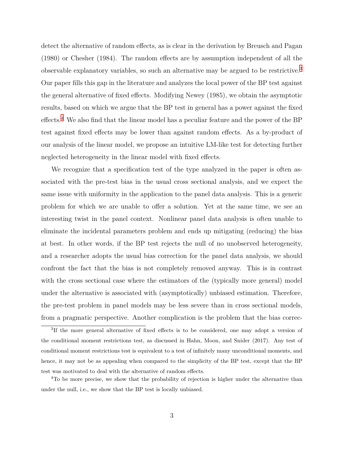detect the alternative of random effects, as is clear in the derivation by Breusch and Pagan (1980) or Chesher (1984). The random effects are by assumption independent of all the observable explanatory variables, so such an alternative may be argued to be restrictive.3 Our paper fills this gap in the literature and analyzes the local power of the BP test against the general alternative of fixed effects. Modifying Newey (1985), we obtain the asymptotic results, based on which we argue that the BP test in general has a power against the fixed effects.4 We also find that the linear model has a peculiar feature and the power of the BP test against fixed effects may be lower than against random effects. As a by-product of our analysis of the linear model, we propose an intuitive LM-like test for detecting further neglected heterogeneity in the linear model with fixed effects.

We recognize that a specification test of the type analyzed in the paper is often associated with the pre-test bias in the usual cross sectional analysis, and we expect the same issue with uniformity in the application to the panel data analysis. This is a generic problem for which we are unable to offer a solution. Yet at the same time, we see an interesting twist in the panel context. Nonlinear panel data analysis is often unable to eliminate the incidental parameters problem and ends up mitigating (reducing) the bias at best. In other words, if the BP test rejects the null of no unobserved heterogeneity, and a researcher adopts the usual bias correction for the panel data analysis, we should confront the fact that the bias is not completely removed anyway. This is in contrast with the cross sectional case where the estimators of the (typically more general) model under the alternative is associated with (asymptotically) unbiased estimation. Therefore, the pre-test problem in panel models may be less severe than in cross sectional models, from a pragmatic perspective. Another complication is the problem that the bias correc-

<sup>&</sup>lt;sup>3</sup>If the more general alternative of fixed effects is to be considered, one may adopt a version of the conditional moment restrictions test, as discussed in Hahn, Moon, and Snider (2017). Any test of conditional moment restrictions test is equivalent to a test of infinitely many unconditional moments, and hence, it may not be as appealing when compared to the simplicity of the BP test, except that the BP test was motivated to deal with the alternative of random effects.

<sup>&</sup>lt;sup>4</sup>To be more precise, we show that the probability of rejection is higher under the alternative than under the null, i.e., we show that the BP test is locally unbiased.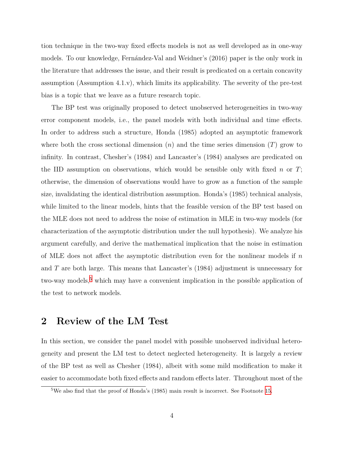tion technique in the two-way fixed effects models is not as well developed as in one-way models. To our knowledge, Fernández-Val and Weidner's (2016) paper is the only work in the literature that addresses the issue, and their result is predicated on a certain concavity assumption (Assumption 4.1.v), which limits its applicability. The severity of the pre-test bias is a topic that we leave as a future research topic.

The BP test was originally proposed to detect unobserved heterogeneities in two-way error component models, i.e., the panel models with both individual and time effects. In order to address such a structure, Honda (1985) adopted an asymptotic framework where both the cross sectional dimension (*n*) and the time series dimension (*T*) grow to infinity. In contrast, Chesher's (1984) and Lancaster's (1984) analyses are predicated on the IID assumption on observations, which would be sensible only with fixed *n* or *T*; otherwise, the dimension of observations would have to grow as a function of the sample size, invalidating the identical distribution assumption. Honda's (1985) technical analysis, while limited to the linear models, hints that the feasible version of the BP test based on the MLE does not need to address the noise of estimation in MLE in two-way models (for characterization of the asymptotic distribution under the null hypothesis). We analyze his argument carefully, and derive the mathematical implication that the noise in estimation of MLE does not affect the asymptotic distribution even for the nonlinear models if *n* and *T* are both large. This means that Lancaster's (1984) adjustment is unnecessary for two-way models,<sup>5</sup> which may have a convenient implication in the possible application of the test to network models.

#### <span id="page-3-0"></span>**2 Review of the LM Test**

In this section, we consider the panel model with possible unobserved individual heterogeneity and present the LM test to detect neglected heterogeneity. It is largely a review of the BP test as well as Chesher (1984), albeit with some mild modification to make it easier to accommodate both fixed effects and random effects later. Throughout most of the

<sup>5</sup>We also find that the proof of Honda's (1985) main result is incorrect. See Footnote [15.](#page-17-0)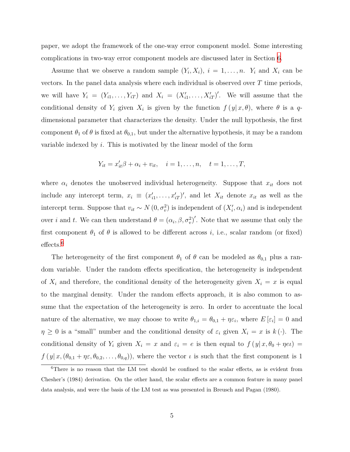paper, we adopt the framework of the one-way error component model. Some interesting complications in two-way error component models are discussed later in Section [6](#page-17-0).

Assume that we observe a random sample  $(Y_i, X_i)$ ,  $i = 1, \ldots, n$ .  $Y_i$  and  $X_i$  can be vectors. In the panel data analysis where each individual is observed over *T* time periods, we will have  $Y_i = (Y_{i1}, \ldots, Y_{iT})$  and  $X_i = (X'_{i1}, \ldots, X'_{iT})'$ . We will assume that the conditional density of  $Y_i$  given  $X_i$  is given by the function  $f(y|x,\theta)$ , where  $\theta$  is a  $q$ dimensional parameter that characterizes the density. Under the null hypothesis, the first component  $\theta_1$  of  $\theta$  is fixed at  $\theta_{0,1}$ , but under the alternative hypothesis, it may be a random variable indexed by *i*. This is motivated by the linear model of the form

$$
Y_{it} = x'_{it}\beta + \alpha_i + v_{it}, \quad i = 1, ..., n, \quad t = 1, ..., T,
$$

where  $\alpha_i$  denotes the unobserved individual heterogeneity. Suppose that  $x_{it}$  does not include any intercept term,  $x_i \equiv (x'_{i1}, \ldots, x'_{iT})'$ , and let  $X_{it}$  denote  $x_{it}$  as well as the intercept term. Suppose that  $v_{it} \sim N(0, \sigma_v^2)$  is independent of  $(X'_i, \alpha_i)$  and is independent over *i* and *t*. We can then understand  $\theta = (\alpha_i, \beta, \sigma_v^2)'$ . Note that we assume that only the first component  $\theta_1$  of  $\theta$  is allowed to be different across *i*, i.e., scalar random (or fixed) effects.<sup>6</sup>

The heterogeneity of the first component  $\theta_1$  of  $\theta$  can be modeled as  $\theta_{0,1}$  plus a random variable. Under the random effects specification, the heterogeneity is independent of  $X_i$  and therefore, the conditional density of the heterogeneity given  $X_i = x$  is equal to the marginal density. Under the random effects approach, it is also common to assume that the expectation of the heterogeneity is zero. In order to accentuate the local nature of the alternative, we may choose to write  $\theta_{1,i} = \theta_{0,1} + \eta \varepsilon_i$ , where  $E[\varepsilon_i] = 0$  and  $\eta \geq 0$  is a "small" number and the conditional density of  $\varepsilon_i$  given  $X_i = x$  is  $k(\cdot)$ . The conditional density of  $Y_i$  given  $X_i = x$  and  $\varepsilon_i = e$  is then equal to  $f(y|x, \theta_0 + \eta e_i) =$  $f(y|x, (\theta_{0,1} + \eta \varepsilon, \theta_{0,2}, \dots, \theta_{0,q}))$ , where the vector *ι* is such that the first component is 1

<sup>&</sup>lt;sup>6</sup>There is no reason that the LM test should be confined to the scalar effects, as is evident from Chesher's (1984) derivation. On the other hand, the scalar effects are a common feature in many panel data analysis, and were the basis of the LM test as was presented in Breusch and Pagan (1980).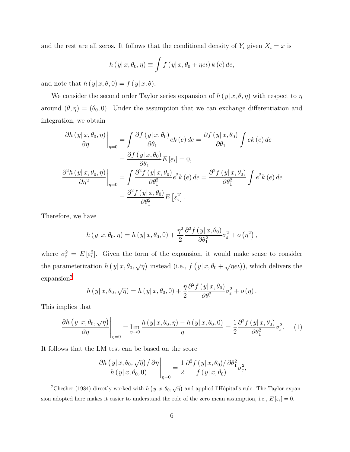and the rest are all zeros. It follows that the conditional density of  $Y_i$  given  $X_i = x$  is

$$
h(y|x, \theta_0, \eta) \equiv \int f(y|x, \theta_0 + \eta e \iota) k(e) de,
$$

and note that  $h(y|x, \theta, 0) = f(y|x, \theta)$ .

We consider the second order Taylor series expansion of  $h(y|x, \theta, \eta)$  with respect to  $\eta$ around  $(\theta, \eta) = (\theta_0, 0)$ . Under the assumption that we can exchange differentiation and integration, we obtain

$$
\frac{\partial h(y|x,\theta_0,\eta)}{\partial \eta}\Big|_{\eta=0} = \int \frac{\partial f(y|x,\theta_0)}{\partial \theta_1} e k(e) de = \frac{\partial f(y|x,\theta_0)}{\partial \theta_1} \int e k(e) de \n= \frac{\partial f(y|x,\theta_0)}{\partial \theta_1} E [\varepsilon_i] = 0, \n\frac{\partial^2 h(y|x,\theta_0,\eta)}{\partial \eta^2}\Big|_{\eta=0} = \int \frac{\partial^2 f(y|x,\theta_0)}{\partial \theta_1^2} e^2 k(e) de = \frac{\partial^2 f(y|x,\theta_0)}{\partial \theta_1^2} \int e^2 k(e) de \n= \frac{\partial^2 f(y|x,\theta_0)}{\partial \theta_1^2} E [\varepsilon_i^2].
$$

Therefore, we have

$$
h(y|x, \theta_0, \eta) = h(y|x, \theta_0, 0) + \frac{\eta^2}{2} \frac{\partial^2 f(y|x, \theta_0)}{\partial \theta_1^2} \sigma_{\varepsilon}^2 + o(\eta^2),
$$

where  $\sigma_{\varepsilon}^2 = E[\varepsilon_i^2]$ . Given the form of the expansion, it would make sense to consider the parameterization  $h(y|x, \theta_0, \sqrt{\eta})$  instead (i.e.,  $f(y|x, \theta_0 + \sqrt{\eta}e_i)$ ), which delivers the expansion<sup>7</sup>

$$
h(y|x, \theta_0, \sqrt{\eta}) = h(y|x, \theta_0, 0) + \frac{\eta}{2} \frac{\partial^2 f(y|x, \theta_0)}{\partial \theta_1^2} \sigma_{\varepsilon}^2 + o(\eta).
$$

This implies that

<span id="page-5-0"></span>
$$
\frac{\partial h\left(y|x,\theta_0,\sqrt{\eta}\right)}{\partial \eta}\Bigg|_{\eta=0} = \lim_{\eta \to 0} \frac{h\left(y|x,\theta_0,\eta\right) - h\left(y|x,\theta_0,0\right)}{\eta} = \frac{1}{2} \frac{\partial^2 f\left(y|x,\theta_0\right)}{\partial \theta_1^2} \sigma_{\varepsilon}^2. \tag{1}
$$

It follows that the LM test can be based on the score

$$
\frac{\partial h\left(y|x,\theta_0,\sqrt{\eta}\right)/\partial\eta}{h\left(y|x,\theta_0,0\right)}\Bigg|_{\eta=0} = \frac{1}{2}\frac{\partial^2 f\left(y|x,\theta_0\right)/\partial\theta_1^2}{f\left(y|x,\theta_0\right)}\sigma_{\varepsilon}^2,
$$

<sup>7</sup>Chesher (1984) directly worked with *h*  $(y|x, \theta_0, \sqrt{\eta})$  and applied l'Hôpital's rule. The Taylor expansion adopted here makes it easier to understand the role of the zero mean assumption, i.e.,  $E\left[\varepsilon_i\right] = 0$ .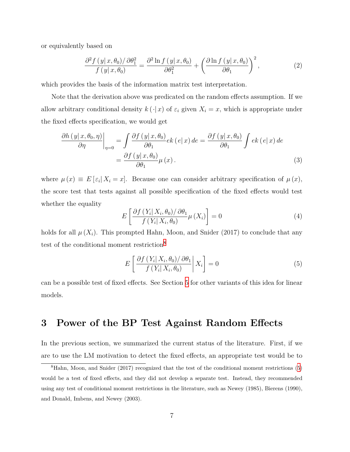or equivalently based on

<span id="page-6-2"></span>
$$
\frac{\partial^2 f(y|x,\theta_0)/\partial \theta_1^2}{f(y|x,\theta_0)} = \frac{\partial^2 \ln f(y|x,\theta_0)}{\partial \theta_1^2} + \left(\frac{\partial \ln f(y|x,\theta_0)}{\partial \theta_1}\right)^2,\tag{2}
$$

which provides the basis of the information matrix test interpretation.

Note that the derivation above was predicated on the random effects assumption. If we allow arbitrary conditional density  $k(\cdot|x)$  of  $\varepsilon_i$  given  $X_i = x$ , which is appropriate under the fixed effects specification, we would get

$$
\frac{\partial h\left(y|x,\theta_{0},\eta\right)}{\partial \eta}\bigg|_{\eta=0} = \int \frac{\partial f\left(y|x,\theta_{0}\right)}{\partial \theta_{1}} ek\left(e|x\right) de = \frac{\partial f\left(y|x,\theta_{0}\right)}{\partial \theta_{1}} \int ek\left(e|x\right) de \n= \frac{\partial f\left(y|x,\theta_{0}\right)}{\partial \theta_{1}} \mu\left(x\right).
$$
\n(3)

where  $\mu(x) \equiv E[\varepsilon_i | X_i = x]$ . Because one can consider arbitrary specification of  $\mu(x)$ , the score test that tests against all possible specification of the fixed effects would test whether the equality

<span id="page-6-1"></span>
$$
E\left[\frac{\partial f\left(Y_i|X_i,\theta_0\right)/\partial\theta_1}{f\left(Y_i|X_i,\theta_0\right)}\mu\left(X_i\right)\right] = 0\tag{4}
$$

holds for all  $\mu(X_i)$ . This prompted Hahn, Moon, and Snider (2017) to conclude that any test of the conditional moment restriction<sup>8</sup>

<span id="page-6-0"></span>
$$
E\left[\frac{\partial f\left(Y_i|X_i,\theta_0\right)/\partial\theta_1}{f\left(Y_i|X_i,\theta_0\right)}\bigg|X_i\right] = 0\tag{5}
$$

can be a possible test of fixed effects. See Section [5](#page-14-0) for other variants of this idea for linear models.

# <span id="page-6-3"></span>**3 Power of the BP Test Against Random Effects**

In the previous section, we summarized the current status of the literature. First, if we are to use the LM motivation to detect the fixed effects, an appropriate test would be to

<sup>&</sup>lt;sup>8</sup>Hahn, Moon, and Snider (2017) recognized that the test of the conditional moment restrictions [\(5](#page-6-0)) would be a test of fixed effects, and they did not develop a separate test. Instead, they recommended using any test of conditional moment restrictions in the literature, such as Newey (1985), Bierens (1990), and Donald, Imbens, and Newey (2003).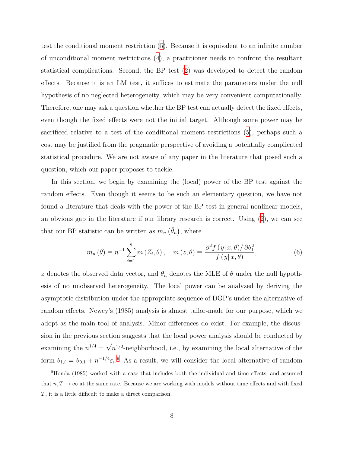test the conditional moment restriction ([5\)](#page-6-0). Because it is equivalent to an infinite number of unconditional moment restrictions [\(4](#page-6-1)), a practitioner needs to confront the resultant statistical complications. Second, the BP test [\(2\)](#page-6-2) was developed to detect the random effects. Because it is an LM test, it suffices to estimate the parameters under the null hypothesis of no neglected heterogeneity, which may be very convenient computationally. Therefore, one may ask a question whether the BP test can actually detect the fixed effects, even though the fixed effects were not the initial target. Although some power may be sacrificed relative to a test of the conditional moment restrictions ([5](#page-6-0)), perhaps such a cost may be justified from the pragmatic perspective of avoiding a potentially complicated statistical procedure. We are not aware of any paper in the literature that posed such a question, which our paper proposes to tackle.

In this section, we begin by examining the (local) power of the BP test against the random effects. Even though it seems to be such an elementary question, we have not found a literature that deals with the power of the BP test in general nonlinear models, an obvious gap in the literature if our library research is correct. Using  $(2)$  $(2)$ , we can see that our BP statistic can be written as  $m_n \, (\bar{\theta}_n)$ , where

<span id="page-7-0"></span>
$$
m_n(\theta) \equiv n^{-1} \sum_{i=1}^n m(Z_i, \theta), \quad m(z, \theta) \equiv \frac{\partial^2 f(y|x, \theta)/\partial \theta_1^2}{f(y|x, \theta)}, \tag{6}
$$

*z* denotes the observed data vector, and  $\theta_n$  denotes the MLE of  $\theta$  under the null hypothesis of no unobserved heterogeneity. The local power can be analyzed by deriving the asymptotic distribution under the appropriate sequence of DGP's under the alternative of random effects. Newey's (1985) analysis is almost tailor-made for our purpose, which we adopt as the main tool of analysis. Minor differences do exist. For example, the discussion in the previous section suggests that the local power analysis should be conducted by examining the  $n^{1/4} =$ *√*  $n^{1/2}$ -neighborhood, i.e., by examining the local alternative of the form  $\theta_{1,i} = \theta_{0,1} + n^{-1/4} \varepsilon_i$ . As a result, we will consider the local alternative of random

<sup>9</sup>Honda (1985) worked with a case that includes both the individual and time effects, and assumed that  $n, T \to \infty$  at the same rate. Because we are working with models without time effects and with fixed *T*, it is a little difficult to make a direct comparison.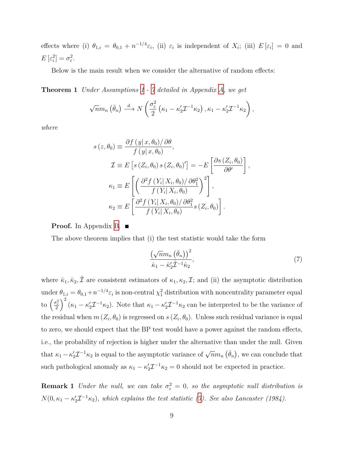effects where (i)  $\theta_{1,i} = \theta_{0,1} + n^{-1/4} \varepsilon_i$ , (ii)  $\varepsilon_i$  is independent of  $X_i$ ; (iii)  $E[\varepsilon_i] = 0$  and  $E\left[\varepsilon_i^2\right] = \sigma_{\varepsilon}^2.$ 

<span id="page-8-2"></span>Below is the main result when we consider the alternative of random effects:

**Theorem 1** *Under Assumptions [1](#page-21-0) - [7](#page-22-0) detailed in Appendix [A](#page-21-1), we get*

$$
\sqrt{n}m_n\left(\bar{\theta}_n\right) \stackrel{d}{\longrightarrow} N\left(\frac{\sigma_{\varepsilon}^2}{2}\left(\kappa_1-\kappa_2'\mathcal{I}^{-1}\kappa_2\right),\kappa_1-\kappa_2'\mathcal{I}^{-1}\kappa_2\right),\,
$$

*where*

$$
s(z, \theta_0) \equiv \frac{\partial f(y|x, \theta_0)/\partial \theta}{f(y|x, \theta_0)},
$$
  
\n
$$
\mathcal{I} \equiv E\left[s(Z_i, \theta_0) s(Z_i, \theta_0)'\right] = -E\left[\frac{\partial s(Z_i, \theta_0)}{\partial \theta'}\right]
$$
  
\n
$$
\kappa_1 \equiv E\left[\left(\frac{\partial^2 f(Y_i|X_i, \theta_0)/\partial \theta_1^2}{f(Y_i|X_i, \theta_0)}\right)^2\right],
$$
  
\n
$$
\kappa_2 \equiv E\left[\frac{\partial^2 f(Y_i|X_i, \theta_0)/\partial \theta_1^2}{f(Y_i|X_i, \theta_0)} s(Z_i, \theta_0)\right].
$$

**Proof.** In Appendix [B](#page-23-0). ■

The above theorem implies that (i) the test statistic would take the form

<span id="page-8-0"></span>
$$
\frac{\left(\sqrt{n}m_n\left(\bar{\theta}_n\right)\right)^2}{\hat{\kappa}_1-\hat{\kappa}_2'\hat{\mathcal{I}}^{-1}\hat{\kappa}_2},\tag{7}
$$

*,*

where  $\hat{\kappa}_1, \hat{\kappa}_2, \hat{\mathcal{I}}$  are consistent estimators of  $\kappa_1, \kappa_2, \mathcal{I}$ ; and (ii) the asymptotic distribution under  $\theta_{1,i} = \theta_{0,1} + n^{-1/4} \varepsilon_i$  is non-central  $\chi_1^2$  distribution with noncentrality parameter equal to  $\left(\frac{\sigma_{\varepsilon}^2}{2}\right)^2 (\kappa_1 - \kappa_2' \mathcal{I}^{-1} \kappa_2)$ . Note that  $\kappa_1 - \kappa_2' \mathcal{I}^{-1} \kappa_2$  can be interpreted to be the variance of the residual when  $m(Z_i, \theta_0)$  is regressed on  $s(Z_i, \theta_0)$ . Unless such residual variance is equal to zero, we should expect that the BP test would have a power against the random effects, i.e., the probability of rejection is higher under the alternative than under the null. Given that  $\kappa_1 - \kappa_2' \mathcal{I}^{-1} \kappa_2$  is equal to the asymptotic variance of  $\sqrt{n} m_n (\bar{\theta}_n)$ , we can conclude that such pathological anomaly as  $\kappa_1 - \kappa_2' \mathcal{I}^{-1} \kappa_2 = 0$  should not be expected in practice.

<span id="page-8-1"></span>**Remark 1** *Under the null, we can take*  $\sigma_{\varepsilon}^2 = 0$ *, so the asymptotic null distribution is*  $N(0, \kappa_1 - \kappa_2' \mathcal{I}^{-1} \kappa_2)$ , which explains the test statistic [\(7](#page-8-0)). See also Lancaster (1984).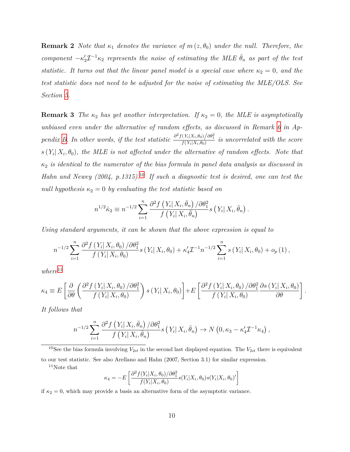**Remark 2** *Note that*  $\kappa_1$  *denotes the variance of*  $m(z, \theta_0)$  *under the null. Therefore, the component*  $-\kappa'_{2}\mathcal{I}^{-1}\kappa_{2}$  *represents the noise of estimating the MLE*  $\bar{\theta}_{n}$  *as part of the test statistic. It turns out that the linear panel model is a special case where*  $\kappa_2 = 0$ , and the *test statistic does not need to be adjusted for the noise of estimating the MLE/OLS. See Section [5.](#page-14-0)*

**Remark 3** *The*  $\kappa_2$  *has yet another interpretation. If*  $\kappa_2 = 0$ *, the MLE is asymptotically unbiased even under the alternative of random effects, as discussed in Remark [6](#page-27-0) in Ap-*pendix [B](#page-23-0). In other words, if the test statistic  $\frac{\partial^2 f(Y_i|X_i,\theta_0)}{f(Y_i|X_i,\theta_0)}$  is uncorrelated with the score  $s(Y_i|X_i, \theta_0)$ , the MLE is not affected under the alternative of random effects. Note that *κ*<sup>2</sup> *is identical to the numerator of the bias formula in panel data analysis as discussed in Hahn and Newey (2004, p.1315).*10 *If such a diagnostic test is desired, one can test the null hypothesis*  $\kappa_2 = 0$  *by evaluating the test statistic based on* 

$$
n^{1/2}\hat{\kappa}_2 \equiv n^{-1/2} \sum_{i=1}^n \frac{\partial^2 f\left(Y_i \mid X_i, \bar{\theta}_n\right) / \partial \theta_1^2}{f\left(Y_i \mid X_i, \bar{\theta}_n\right)} s\left(Y_i \mid X_i, \bar{\theta}_n\right).
$$

*Using standard arguments, it can be shown that the above expression is equal to*

$$
n^{-1/2} \sum_{i=1}^{n} \frac{\partial^2 f(Y_i | X_i, \theta_0) / \partial \theta_1^2}{f(Y_i | X_i, \theta_0)} s(Y_i | X_i, \theta_0) + \kappa_4' \mathcal{I}^{-1} n^{-1/2} \sum_{i=1}^{n} s(Y_i | X_i, \theta_0) + o_p(1),
$$

 $where<sup>11</sup>$ 

$$
\kappa_4 \equiv E\left[\frac{\partial}{\partial \theta} \left(\frac{\partial^2 f(Y_i|X_i, \theta_0)/\partial \theta_1^2}{f(Y_i|X_i, \theta_0)}\right)s(Y_i|X_i, \theta_0)\right] + E\left[\frac{\partial^2 f(Y_i|X_i, \theta_0)/\partial \theta_1^2}{f(Y_i|X_i, \theta_0)}\frac{\partial s(Y_i|X_i, \theta_0)}{\partial \theta}\right].
$$

*It follows that*

$$
n^{-1/2} \sum_{i=1}^n \frac{\partial^2 f\left(Y_i \mid X_i, \bar{\theta}_n\right) / \partial \theta_1^2}{f\left(Y_i \mid X_i, \bar{\theta}_n\right)} s\left(Y_i \mid X_i, \bar{\theta}_n\right) \to N\left(0, \kappa_3 - \kappa_4' \mathcal{I}^{-1} \kappa_4\right),
$$

<sup>10</sup>See the bias formula involving  $V_{2it}$  in the second last displayed equation. The  $V_{2it}$  there is equivalent to our test statistic. See also Arellano and Hahn (2007, Section 3.1) for similar expression.

 $11$ Note that

$$
\kappa_4 = -E\left[\frac{\partial^2 f(Y_i|X_i, \theta_0)/\partial \theta_1^2}{f(Y_i|X_i, \theta_0)} s(Y_i|X_i, \theta_0)s(Y_i|X_i, \theta_0)'\right]
$$

if  $\kappa_2 = 0$ , which may provide a basis an alternative form of the asymptotic variance.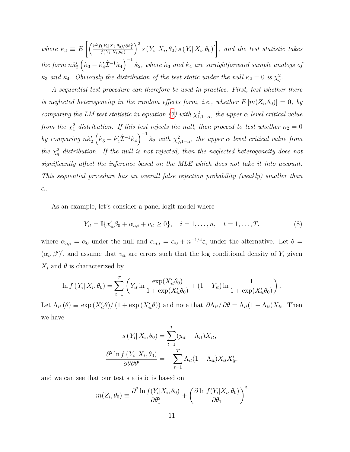$where \ \kappa_3 \equiv E\left[ \left( \frac{\partial^2 f(Y_i|X_i,\theta_0)/\partial \theta_1^2}{f(Y_i|X_i,\theta_0)} \right)$  $\int^2 s(Y_i|X_i, \theta_0) s(Y_i|X_i, \theta_0)'$ , and the test statistic takes  $\hat{R}_{2}$   $\hat{R}_{1}$   $\hat{R}_{2}$   $\hat{R}_{3}$   $-\hat{R}_{4}'\hat{\mathcal{I}}^{-1}\hat{R}_{4}$   $\hat{R}_{2}$ , where  $\hat{\kappa}_{3}$  and  $\hat{\kappa}_{4}$  are straightforward sample analogs of *κ*<sub>3</sub> *and κ*<sub>4</sub>. Obviously the distribution of the test static under the null  $\kappa_2 = 0$  *is*  $\chi_q^2$ .

*A sequential test procedure can therefore be used in practice. First, test whether there is neglected heterogeneity in the random effects form, i.e., whether*  $E[m(Z_i, \theta_0)] = 0$ , by *comparing the LM test statistic in equation (* $\gamma$ *) with*  $\chi^2_{1,1-\alpha}$ , the upper  $\alpha$  level critical value *from the*  $\chi^2$  *distribution. If this test rejects the null, then proceed to test whether*  $\kappa_2 = 0$ by comparing  $n\hat{\kappa}_2'(\hat{\kappa}_3 - \hat{\kappa}_4'\hat{\mathcal{I}}^{-1}\hat{\kappa}_4)^{-1}\hat{\kappa}_2$  with  $\chi^2_{q,1-\alpha}$ , the upper  $\alpha$  level critical value from *the*  $\chi_q^2$  *distribution.* If the null is not rejected, then the neglected heterogeneity does not *significantly affect the inference based on the MLE which does not take it into account. This sequential procedure has an overall false rejection probability (weakly) smaller than α.*

As an example, let's consider a panel logit model where

$$
Y_{it} = \mathbb{I}\{x'_{it}\beta_0 + \alpha_{n,i} + v_{it} \ge 0\}, \quad i = 1, ..., n, \quad t = 1, ..., T.
$$
 (8)

where  $\alpha_{n,i} = \alpha_0$  under the null and  $\alpha_{n,i} = \alpha_0 + n^{-1/4} \varepsilon_i$  under the alternative. Let  $\theta =$  $(\alpha_i, \beta')'$ , and assume that  $v_{it}$  are errors such that the log conditional density of  $Y_i$  given  $X_i$  and  $\theta$  is characterized by

$$
\ln f(Y_i | X_i, \theta_0) = \sum_{t=1}^T \left( Y_{it} \ln \frac{\exp(X_{it}' \theta_0)}{1 + \exp(X_{it}' \theta_0)} + (1 - Y_{it}) \ln \frac{1}{1 + \exp(X_{it}' \theta_0)} \right).
$$

Let  $\Lambda_{it}(\theta) \equiv \exp(X'_{it}\theta)/(1+\exp(X'_{it}\theta))$  and note that  $\partial \Lambda_{it}/\partial \theta = \Lambda_{it}(1-\Lambda_{it})X_{it}$ . Then we have

$$
s(Y_i|X_i, \theta_0) = \sum_{t=1}^T (y_{it} - \Lambda_{it}) X_{it},
$$

$$
\frac{\partial^2 \ln f(Y_i|X_i, \theta_0)}{\partial \theta \partial \theta'} = -\sum_{t=1}^T \Lambda_{it} (1 - \Lambda_{it}) X_{it} X'_{it}.
$$

and we can see that our test statistic is based on

$$
m(Z_i, \theta_0) \equiv \frac{\partial^2 \ln f(Y_i | X_i, \theta_0)}{\partial \theta_1^2} + \left(\frac{\partial \ln f(Y_i | X_i, \theta_0)}{\partial \theta_1}\right)^2
$$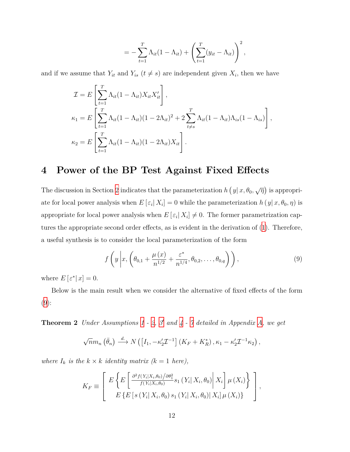$$
= -\sum_{t=1}^{T} \Lambda_{it} (1 - \Lambda_{it}) + \left( \sum_{t=1}^{T} (y_{it} - \Lambda_{it}) \right)^2,
$$

and if we assume that  $Y_{it}$  and  $Y_{is}$  ( $t \neq s$ ) are independent given  $X_i$ , then we have

$$
\mathcal{I} = E\left[\sum_{t=1}^{T} \Lambda_{it} (1 - \Lambda_{it}) X_{it} X'_{it}\right],
$$
  
\n
$$
\kappa_1 = E\left[\sum_{t=1}^{T} \Lambda_{it} (1 - \Lambda_{it}) (1 - 2\Lambda_{it})^2 + 2 \sum_{t \neq s}^{T} \Lambda_{it} (1 - \Lambda_{it}) \Lambda_{is} (1 - \Lambda_{is})\right],
$$
  
\n
$$
\kappa_2 = E\left[\sum_{t=1}^{T} \Lambda_{it} (1 - \Lambda_{it}) (1 - 2\Lambda_{it}) X_{it}\right].
$$

# **4 Power of the BP Test Against Fixed Effects**

The discussion in Section [2](#page-3-0) indicates that the parameterization  $h(y|x, \theta_0, \sqrt{\eta})$  is appropriate for local power analysis when  $E[\varepsilon_i|X_i] = 0$  while the parameterization  $h(y|x, \theta_0, \eta)$  is appropriate for local power analysis when  $E\left[\varepsilon_i \mid X_i\right] \neq 0$ . The former parametrization captures the appropriate second order effects, as is evident in the derivation of [\(1](#page-5-0)). Therefore, a useful synthesis is to consider the local parameterization of the form

<span id="page-11-0"></span>
$$
f\left(y\left|x,\left(\theta_{0,1}+\frac{\mu(x)}{n^{1/2}}+\frac{\varepsilon^*}{n^{1/4}},\theta_{0,2},\ldots,\theta_{0,q}\right)\right)\right),\tag{9}
$$

where  $E\left[\varepsilon^*|x\right]=0$ .

Below is the main result when we consider the alternative of fixed effects of the form  $(9)$  $(9)$  $(9)$ :

<span id="page-11-1"></span>**Theorem 2** *Under Assumptions [1](#page-21-0) - [2](#page-21-2), [3](#page-21-3) ′ and [4](#page-21-4) - [7](#page-22-0) detailed in Appendix [A](#page-21-1), we get*

$$
\sqrt{n}m_n\left(\bar{\theta}_n\right)\stackrel{d}{\longrightarrow}N\left(\left[I_1,-\kappa_2'\mathcal{I}^{-1}\right]\left(K_F+K_R^*\right),\kappa_1-\kappa_2'\mathcal{I}^{-1}\kappa_2\right),\,
$$

*where*  $I_k$  *is the*  $k \times k$  *identity matrix*  $(k = 1 \text{ here}),$ 

$$
K_F \equiv \left[ E \left\{ E \left[ \frac{\partial^2 f(Y_i|X_i, \theta_0) / \partial \theta_1^2}{f(Y_i|X_i, \theta_0)} s_1 \left( Y_i | X_i, \theta_0 \right) \middle| X_i \right] \mu \left( X_i \right) \right\} \right],
$$
  

$$
E \left\{ E \left[ s \left( Y_i | X_i, \theta_0 \right) s_1 \left( Y_i | X_i, \theta_0 \right) \middle| X_i \right] \mu \left( X_i \right) \right\} \right],
$$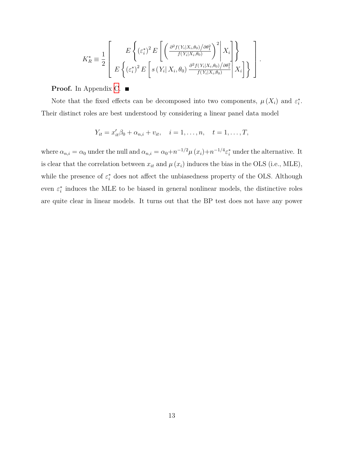$$
K_R^* \equiv \frac{1}{2} \left[ E \left\{ \left( \varepsilon_i^* \right)^2 E \left[ \left( \frac{\partial^2 f(Y_i | X_i, \theta_0) / \partial \theta_1^2}{f(Y_i | X_i, \theta_0)} \right)^2 \middle| X_i \right] \right\}
$$

$$
E \left\{ \left( \varepsilon_i^* \right)^2 E \left[ s \left( Y_i | X_i, \theta_0 \right) \frac{\partial^2 f(Y_i | X_i, \theta_0) / \partial \theta_1^2}{f(Y_i | X_i, \theta_0)} \middle| X_i \right] \right\} \right]
$$

*.*

**Proof.** In Appendix [C](#page-28-0).

Note that the fixed effects can be decomposed into two components,  $\mu(X_i)$  and  $\varepsilon_i^*$ . Their distinct roles are best understood by considering a linear panel data model

$$
Y_{it} = x'_{it}\beta_0 + \alpha_{n,i} + v_{it}, \quad i = 1, ..., n, \quad t = 1, ..., T,
$$

where  $\alpha_{n,i} = \alpha_0$  under the null and  $\alpha_{n,i} = \alpha_0 + n^{-1/2} \mu(x_i) + n^{-1/4} \varepsilon_i^*$  under the alternative. It is clear that the correlation between  $x_{it}$  and  $\mu(x_i)$  induces the bias in the OLS (i.e., MLE), while the presence of  $\varepsilon_i^*$  does not affect the unbiasedness property of the OLS. Although even  $\varepsilon_i^*$  induces the MLE to be biased in general nonlinear models, the distinctive roles are quite clear in linear models. It turns out that the BP test does not have any power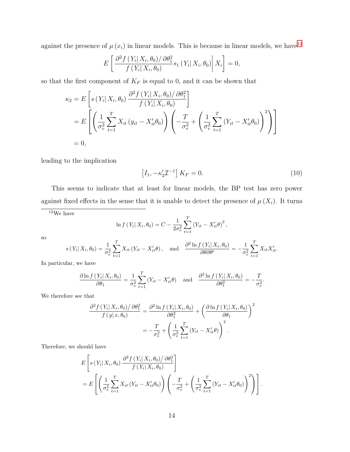against the presence of  $\mu(x_i)$  in linear models. This is because in linear models, we have<sup>12</sup>

$$
E\left[\frac{\partial^2 f(Y_i|X_i,\theta_0)/\partial\theta_1^2}{f(Y_i|X_i,\theta_0)}s_1(Y_i|X_i,\theta_0)\middle|X_i\right]=0,
$$

so that the first component of  $K_F$  is equal to 0, and it can be shown that

$$
\kappa_2 = E\left[s\left(Y_i\middle|X_i,\theta_0\right)\frac{\partial^2 f\left(Y_i\middle|X_i,\theta_0\right)/\partial\theta_1^2}{f\left(Y_i\middle|X_i,\theta_0\right)}\right]
$$
  
\n
$$
= E\left[\left(\frac{1}{\sigma_v^2}\sum_{t=1}^T X_{it}\left(y_{it}-X_{it}'\theta_0\right)\right)\left(-\frac{T}{\sigma_v^2}+\left(\frac{1}{\sigma_v^2}\sum_{t=1}^T \left(Y_{it}-X_{it}'\theta_0\right)\right)^2\right)\right]
$$
  
\n
$$
= 0,
$$

leading to the implication

$$
\[I_1, -\kappa_2' \mathcal{I}^{-1}\] K_F = 0. \tag{10}
$$

This seems to indicate that at least for linear models, the BP test has zero power against fixed effects in the sense that it is unable to detect the presence of  $\mu(X_i)$ . It turns

 $^{12}\mathrm{We}$  have

$$
\ln f(Y_i | X_i, \theta_0) = C - \frac{1}{2\sigma_v^2} \sum_{t=1}^T (Y_{it} - X'_{it} \theta)^2,
$$

so

$$
s(Y_i|X_i, \theta_0) = \frac{1}{\sigma_v^2} \sum_{t=1}^T X_{it}(Y_{it} - X_{it}'\theta), \text{ and } \frac{\partial^2 \ln f(Y_i|X_i, \theta_0)}{\partial \theta \partial \theta'} = -\frac{1}{\sigma_v^2} \sum_{t=1}^T X_{it} X_{it}'.
$$

In particular, we have

$$
\frac{\partial \ln f(Y_i|X_i, \theta_0)}{\partial \theta_1} = \frac{1}{\sigma_v^2} \sum_{t=1}^T (Y_{it} - X'_{it}\theta) \quad \text{and} \quad \frac{\partial^2 \ln f(Y_i|X_i, \theta_0)}{\partial \theta_1^2} = -\frac{T}{\sigma_v^2}.
$$

We therefore see that

$$
\frac{\partial^2 f(Y_i|X_i, \theta_0)/\partial \theta_1^2}{f(y|x, \theta_0)} = \frac{\partial^2 \ln f(Y_i|X_i, \theta_0)}{\partial \theta_1^2} + \left(\frac{\partial \ln f(Y_i|X_i, \theta_0)}{\partial \theta_1}\right)^2
$$

$$
= -\frac{T}{\sigma_v^2} + \left(\frac{1}{\sigma_v^2} \sum_{t=1}^T (Y_{it} - X_{it}'\theta)\right)^2.
$$

Therefore, we should have

$$
E\left[s\left(Y_i\middle|X_i,\theta_0\right)\frac{\partial^2 f\left(Y_i\middle|X_i,\theta_0\right)/\partial\theta_1^2}{f\left(Y_i\middle|X_i,\theta_0\right)}\right]
$$
  
= 
$$
E\left[\left(\frac{1}{\sigma_v^2}\sum_{t=1}^T X_{it}\left(Y_{it}-X_{it}'\theta_0\right)\right)\left(-\frac{T}{\sigma_v^2}+\left(\frac{1}{\sigma_v^2}\sum_{t=1}^T \left(Y_{it}-X_{it}'\theta_0\right)\right)^2\right)\right].
$$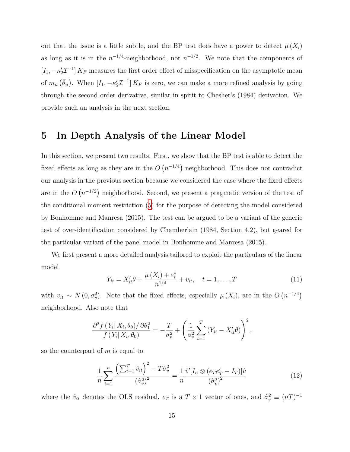out that the issue is a little subtle, and the BP test does have a power to detect  $\mu(X_i)$ as long as it is in the  $n^{-1/4}$ -neighborhood, not  $n^{-1/2}$ . We note that the components of  $[I_1, -\kappa'_2 \mathcal{I}^{-1}] K_F$  measures the first order effect of misspecification on the asymptotic mean of  $m_n\left(\bar{\theta}_n\right)$ . When  $[I_1, -\kappa'_2 \mathcal{I}^{-1}] K_F$  is zero, we can make a more refined analysis by going through the second order derivative, similar in spirit to Chesher's (1984) derivation. We provide such an analysis in the next section.

# <span id="page-14-0"></span>**5 In Depth Analysis of the Linear Model**

In this section, we present two results. First, we show that the BP test is able to detect the fixed effects as long as they are in the  $O(n^{-1/4})$  neighborhood. This does not contradict our analysis in the previous section because we considered the case where the fixed effects are in the  $O(n^{-1/2})$  neighborhood. Second, we present a pragmatic version of the test of the conditional moment restriction [\(5\)](#page-6-0) for the purpose of detecting the model considered by Bonhomme and Manresa (2015). The test can be argued to be a variant of the generic test of over-identification considered by Chamberlain (1984, Section 4.2), but geared for the particular variant of the panel model in Bonhomme and Manresa (2015).

We first present a more detailed analysis tailored to exploit the particulars of the linear model

<span id="page-14-1"></span>
$$
Y_{it} = X'_{it}\theta + \frac{\mu(X_i) + \varepsilon_i^*}{n^{1/4}} + v_{it}, \quad t = 1, ..., T
$$
 (11)

with  $v_{it} \sim N(0, \sigma_v^2)$ . Note that the fixed effects, especially  $\mu(X_i)$ , are in the  $O(n^{-1/4})$ neighborhood. Also note that

$$
\frac{\partial^2 f(Y_i|X_i,\theta_0)/\partial\theta_1^2}{f(Y_i|X_i,\theta_0)} = -\frac{T}{\sigma_v^2} + \left(\frac{1}{\sigma_v^2}\sum_{t=1}^T(Y_{it}-X_{it}'\theta)\right)^2,
$$

so the counterpart of *m* is equal to

<span id="page-14-2"></span>
$$
\frac{1}{n} \sum_{i=1}^{n} \frac{\left(\sum_{t=1}^{T} \hat{v}_{it}\right)^{2} - T \hat{\sigma}_{v}^{2}}{\left(\hat{\sigma}_{v}^{2}\right)^{2}} = \frac{1}{n} \frac{\hat{v}'[I_{n} \otimes (e_{T}e_{T}' - I_{T})]\hat{v}}{\left(\hat{\sigma}_{v}^{2}\right)^{2}}
$$
(12)

where the  $\hat{v}_{it}$  denotes the OLS residual,  $e_T$  is a  $T \times 1$  vector of ones, and  $\hat{\sigma}_v^2 \equiv (nT)^{-1}$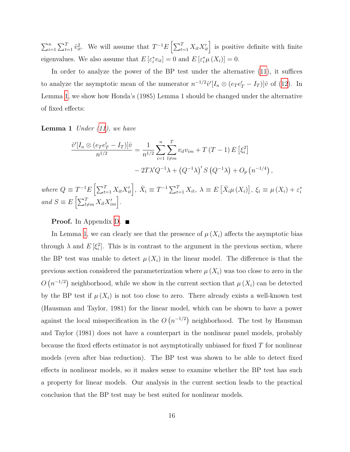$\sum_{i=1}^{n} \sum_{t=1}^{T} \hat{v}_{it}^{2}$ . We will assume that  $T^{-1}E\left[\sum_{t=1}^{T} X_{it} X'_{it}\right]$  is positive definite with finite eigenvalues. We also assume that  $E\left[\varepsilon_i^* v_{it}\right] = 0$  and  $E\left[\varepsilon_i^* \mu\left(X_i\right)\right] = 0$ .

In order to analyze the power of the BP test under the alternative [\(11](#page-14-1)), it suffices to analyze the asymptotic mean of the numerator  $n^{-1/2}\hat{v}'[I_n \otimes (e_T e'_T - I_T)]\hat{v}$  of [\(12\)](#page-14-2). In Lemma [1](#page-15-0), we show how Honda's (1985) Lemma 1 should be changed under the alternative of fixed effects:

<span id="page-15-0"></span>**Lemma 1** *Under ([11\)](#page-14-1), we have*

$$
\frac{\hat{v}'[I_n \otimes (e_T e'_T - I_T)]\hat{v}}{n^{1/2}} = \frac{1}{n^{1/2}} \sum_{i=1}^n \sum_{l \neq m}^T v_{il} v_{im} + T(T - 1) E[\xi_i^2]
$$

$$
- 2T\lambda' Q^{-1} \lambda + (Q^{-1} \lambda)' S(Q^{-1} \lambda) + O_p(n^{-1/4}),
$$

where  $Q \equiv T^{-1}E\left[\sum_{t=1}^{T} X_{it}X_{it}'\right], \ \bar{X}_i \equiv T^{-1}\sum_{t=1}^{T} X_{it}, \ \lambda \equiv E\left[\bar{X}_i\mu\left(X_i\right)\right], \ \xi_i \equiv \mu\left(X_i\right) + \varepsilon_i^*$  $and$   $S \equiv E\left[\sum_{l \neq m}^{T} X_{il} X'_{im}\right]$ .

#### **Proof.** In Appendix [D.](#page-30-0) ■

In Lemma [1,](#page-15-0) we can clearly see that the presence of  $\mu(X_i)$  affects the asymptotic bias through  $\lambda$  and  $E\left[\xi_i^2\right]$ . This is in contrast to the argument in the previous section, where the BP test was unable to detect  $\mu(X_i)$  in the linear model. The difference is that the previous section considered the parameterization where  $\mu(X_i)$  was too close to zero in the  $O(n^{-1/2})$  neighborhood, while we show in the current section that  $\mu(X_i)$  can be detected by the BP test if  $\mu(X_i)$  is not too close to zero. There already exists a well-known test (Hausman and Taylor, 1981) for the linear model, which can be shown to have a power against the local misspecification in the  $O(n^{-1/2})$  neighborhood. The test by Hausman and Taylor (1981) does not have a counterpart in the nonlinear panel models, probably because the fixed effects estimator is not asymptotically unbiased for fixed *T* for nonlinear models (even after bias reduction). The BP test was shown to be able to detect fixed effects in nonlinear models, so it makes sense to examine whether the BP test has such a property for linear models. Our analysis in the current section leads to the practical conclusion that the BP test may be best suited for nonlinear models.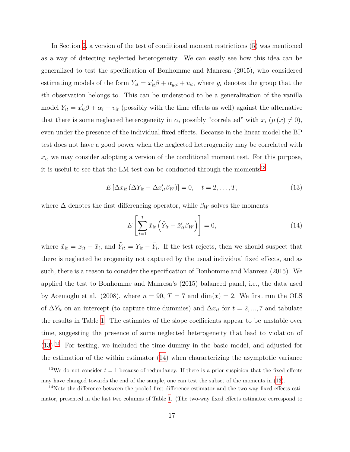In Section [2](#page-3-0), a version of the test of conditional moment restrictions ([5\)](#page-6-0) was mentioned as a way of detecting neglected heterogeneity. We can easily see how this idea can be generalized to test the specification of Bonhomme and Manresa (2015), who considered estimating models of the form  $Y_{it} = x'_{it}\beta + \alpha_{g_i t} + v_{it}$ , where  $g_i$  denotes the group that the *i*th observation belongs to. This can be understood to be a generalization of the vanilla model  $Y_{it} = x'_{it} \beta + \alpha_i + v_{it}$  (possibly with the time effects as well) against the alternative that there is some neglected heterogeneity in  $\alpha_i$  possibly "correlated" with  $x_i$  ( $\mu(x) \neq 0$ ), even under the presence of the individual fixed effects. Because in the linear model the BP test does not have a good power when the neglected heterogeneity may be correlated with  $x_i$ , we may consider adopting a version of the conditional moment test. For this purpose, it is useful to see that the LM test can be conducted through the moments<sup>13</sup>

<span id="page-16-0"></span>
$$
E\left[\Delta x_{it}\left(\Delta Y_{it} - \Delta x_{it}'\beta_W\right)\right] = 0, \quad t = 2, \dots, T,
$$
\n(13)

where  $\Delta$  denotes the first differencing operator, while  $\beta_W$  solves the moments

<span id="page-16-1"></span>
$$
E\left[\sum_{t=1}^{T} \tilde{x}_{it} \left(\tilde{Y}_{it} - \tilde{x}'_{it} \beta_W\right)\right] = 0,\tag{14}
$$

where  $\tilde{x}_{it} = x_{it} - \bar{x}_i$ , and  $\tilde{Y}_{it} = Y_{it} - \bar{Y}_i$ . If the test rejects, then we should suspect that there is neglected heterogeneity not captured by the usual individual fixed effects, and as such, there is a reason to consider the specification of Bonhomme and Manresa (2015). We applied the test to Bonhomme and Manresa's (2015) balanced panel, i.e., the data used by Acemoglu et al. (2008), where  $n = 90$ ,  $T = 7$  and  $\dim(x) = 2$ . We first run the OLS of  $\Delta Y_{it}$  on an intercept (to capture time dummies) and  $\Delta x_{it}$  for  $t = 2, ..., 7$  and tabulate the results in Table [1](#page-18-0). The estimates of the slope coefficients appear to be unstable over time, suggesting the presence of some neglected heterogeneity that lead to violation of ([13](#page-16-0)).14 For testing, we included the time dummy in the basic model, and adjusted for the estimation of the within estimator ([14](#page-16-1)) when characterizing the asymptotic variance

<sup>&</sup>lt;sup>13</sup>We do not consider  $t = 1$  because of redundancy. If there is a prior suspicion that the fixed effects may have changed towards the end of the sample, one can test the subset of the moments in ([13\)](#page-16-0).

<sup>&</sup>lt;sup>14</sup>Note the difference between the pooled first difference estimator and the two-way fixed effects estimator, presented in the last two columns of Table [1](#page-18-0). (The two-way fixed effects estimator correspond to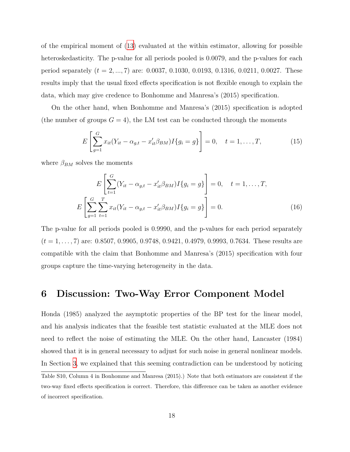of the empirical moment of [\(13\)](#page-16-0) evaluated at the within estimator, allowing for possible heteroskedasticity. The p-value for all periods pooled is 0.0079, and the p-values for each period separately (*t* = 2*, ...,* 7) are: 0.0037, 0.1030, 0.0193, 0.1316, 0.0211, 0.0027. These results imply that the usual fixed effects specification is not flexible enough to explain the data, which may give credence to Bonhomme and Manresa's (2015) specification.

On the other hand, when Bonhomme and Manresa's (2015) specification is adopted (the number of groups  $G = 4$ ), the LM test can be conducted through the moments

$$
E\left[\sum_{g=1}^{G} x_{it}(Y_{it} - \alpha_{g,t} - x'_{it}\beta_{BM})I\{g_i = g\}\right] = 0, \quad t = 1, ..., T,
$$
 (15)

where  $\beta_{BM}$  solves the moments

$$
E\left[\sum_{t=1}^{G} (Y_{it} - \alpha_{g,t} - x'_{it}\beta_{BM}) I\{g_i = g\}\right] = 0, \quad t = 1, ..., T,
$$
  

$$
E\left[\sum_{g=1}^{G} \sum_{t=1}^{T} x_{it} (Y_{it} - \alpha_{g,t} - x'_{it}\beta_{BM}) I\{g_i = g\}\right] = 0.
$$
 (16)

The p-value for all periods pooled is 0.9990, and the p-values for each period separately (*t* = 1*, . . . ,* 7) are: 0.8507, 0.9905, 0.9748, 0.9421, 0.4979, 0.9993, 0.7634. These results are compatible with the claim that Bonhomme and Manresa's (2015) specification with four groups capture the time-varying heterogeneity in the data.

### <span id="page-17-0"></span>**6 Discussion: Two-Way Error Component Model**

Honda (1985) analyzed the asymptotic properties of the BP test for the linear model, and his analysis indicates that the feasible test statistic evaluated at the MLE does not need to reflect the noise of estimating the MLE. On the other hand, Lancaster (1984) showed that it is in general necessary to adjust for such noise in general nonlinear models. In Section [3](#page-6-3), we explained that this seeming contradiction can be understood by noticing

Table S10, Column 4 in Bonhomme and Manresa (2015).) Note that both estimators are consistent if the two-way fixed effects specification is correct. Therefore, this difference can be taken as another evidence of incorrect specification.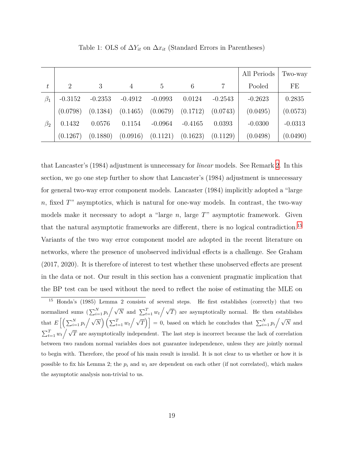<span id="page-18-0"></span>

|           |           |           |                |           |           |           | All Periods | Two-way   |
|-----------|-----------|-----------|----------------|-----------|-----------|-----------|-------------|-----------|
|           | 2         | 3         | $\overline{4}$ | 5         | 6         |           | Pooled      | FE        |
| $\beta_1$ | $-0.3152$ | $-0.2353$ | $-0.4912$      | $-0.0993$ | 0.0124    | $-0.2543$ | $-0.2623$   | 0.2835    |
|           | (0.0798)  | (0.1384)  | (0.1465)       | (0.0679)  | (0.1712)  | (0.0743)  | (0.0495)    | (0.0573)  |
| $\beta_2$ | 0.1432    | 0.0576    | 0.1154         | $-0.0964$ | $-0.4165$ | 0.0393    | $-0.0300$   | $-0.0313$ |
|           | (0.1267)  | (0.1880)  | (0.0916)       | (0.1121)  | (0.1623)  | (0.1129)  | (0.0498)    | (0.0490)  |

Table 1: OLS of  $\Delta Y_{it}$  on  $\Delta x_{it}$  (Standard Errors in Parentheses)

that Lancaster's (1984) adjustment is unnecessary for *linear* models. See Remark [2.](#page-8-1) In this section, we go one step further to show that Lancaster's (1984) adjustment is unnecessary for general two-way error component models. Lancaster (1984) implicitly adopted a "large *n*, fixed *T*" asymptotics, which is natural for one-way models. In contrast, the two-way models make it necessary to adopt a "large *n*, large *T*" asymptotic framework. Given that the natural asymptotic frameworks are different, there is no logical contradiction.15 Variants of the two way error component model are adopted in the recent literature on networks, where the presence of unobserved individual effects is a challenge. See Graham (2017, 2020). It is therefore of interest to test whether these unobserved effects are present in the data or not. Our result in this section has a convenient pragmatic implication that the BP test can be used without the need to reflect the noise of estimating the MLE on

<sup>15</sup> Honda's (1985) Lemma 2 consists of several steps. He first establishes (correctly) that two normalized sums  $\left(\sum_{i=1}^{N} p_i / \sqrt{N} \text{ and } \sum_{t=1}^{T} w_t / \sqrt{T}\right)$  are asymptotically normal. He then establishes that  $E\left[\left(\sum_{i=1}^N p_i \big/ \sqrt{N}\right) \left(\sum_{t=1}^T w_t \big/ \sqrt{T}\right)\right] = 0$ , based on which he concludes that  $\sum_{i=1}^N p_i \big/ \sqrt{N}$  and  $\sum_{t=1}^{T} w_t / \sqrt{T}$  are asymptotically independent. The last step is incorrect because the lack of correlation between two random normal variables does not guarantee independence, unless they are jointly normal to begin with. Therefore, the proof of his main result is invalid. It is not clear to us whether or how it is possible to fix his Lemma 2; the  $p_i$  and  $w_t$  are dependent on each other (if not correlated), which makes the asymptotic analysis non-trivial to us.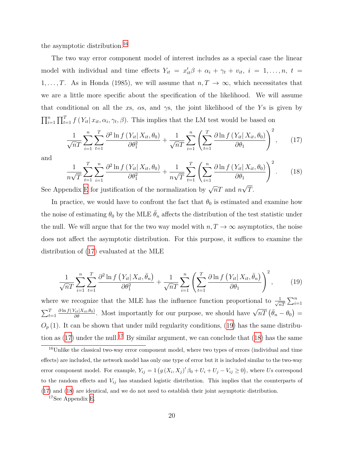the asymptotic distribution.16

The two way error component model of interest includes as a special case the linear model with individual and time effects  $Y_{it} = x'_{it}\beta + \alpha_i + \gamma_t + v_{it}, i = 1, \ldots, n, t =$ 1, ..., *T*. As in Honda (1985), we will assume that  $n, T \to \infty$ , which necessitates that we are a little more specific about the specification of the likelihood. We will assume that conditional on all the *x*s,  $\alpha$ s, and  $\gamma$ s, the joint likelihood of the *Y*s is given by  $\prod_{i=1}^{n} \prod_{t=1}^{T} f(Y_{it} | x_{it}, \alpha_i, \gamma_t, \beta)$ . This implies that the LM test would be based on

<span id="page-19-0"></span>
$$
\frac{1}{\sqrt{n}T}\sum_{i=1}^{n}\sum_{t=1}^{T}\frac{\partial^2\ln f\left(Y_{it}|X_{it},\theta_0\right)}{\partial\theta_1^2} + \frac{1}{\sqrt{n}T}\sum_{i=1}^{n}\left(\sum_{t=1}^{T}\frac{\partial\ln f\left(Y_{it}|X_{it},\theta_0\right)}{\partial\theta_1}\right)^2,\tag{17}
$$

and

<span id="page-19-2"></span>
$$
\frac{1}{n\sqrt{T}}\sum_{t=1}^{T}\sum_{i=1}^{n}\frac{\partial^2\ln f\left(Y_{it}|X_{it},\theta_0\right)}{\partial\theta_1^2} + \frac{1}{n\sqrt{T}}\sum_{t=1}^{T}\left(\sum_{i=1}^{n}\frac{\partial\ln f\left(Y_{it}|X_{it},\theta_0\right)}{\partial\theta_1}\right)^2.
$$
 (18)

See Appendix [E](#page-33-0) for justification of the normalization by  $\sqrt{n}T$  and  $n\sqrt{T}$ .

In practice, we would have to confront the fact that  $\theta_0$  is estimated and examine how the noise of estimating  $\theta_0$  by the MLE  $\theta_n$  affects the distribution of the test statistic under the null. We will argue that for the two way model with  $n, T \to \infty$  asymptotics, the noise does not affect the asymptotic distribution. For this purpose, it suffices to examine the distribution of ([17](#page-19-0)) evaluated at the MLE

<span id="page-19-1"></span>
$$
\frac{1}{\sqrt{n}T}\sum_{i=1}^{n}\sum_{t=1}^{T}\frac{\partial^2\ln f\left(Y_{it}|X_{it},\bar{\theta}_n\right)}{\partial\theta_1^2} + \frac{1}{\sqrt{n}T}\sum_{i=1}^{n}\left(\sum_{t=1}^{T}\frac{\partial\ln f\left(Y_{it}|X_{it},\bar{\theta}_n\right)}{\partial\theta_1}\right)^2,\tag{19}
$$

where we recognize that the MLE has the influence function proportional to  $\frac{1}{\sqrt{n}}$  $\frac{1}{nT} \sum_{i=1}^n$  $\sum_{t=1}^{T} \frac{\partial \ln f(Y_{it}|X_{it},\theta_0)}{\partial \theta}$ . Most importantly for our purpose, we should have  $\sqrt{nT} (\bar{\theta}_n - \theta_0) =$  $O_p(1)$ . It can be shown that under mild regularity conditions, [\(19\)](#page-19-1) has the same distribution as  $(17)$  $(17)$  under the null.<sup>17</sup> By similar argument, we can conclude that  $(18)$  $(18)$  has the same

<sup>&</sup>lt;sup>16</sup>Unlike the classical two-way error component model, where two types of errors (individual and time effects) are included, the network model has only one type of error but it is included similar to the two-way error component model. For example,  $Y_{ij} = 1(g(X_i, X_j)'\beta_0 + U_i + U_j - V_{ij} \ge 0)$ , where Us correspond to the random effects and *Vij* has standard logistic distribution. This implies that the counterparts of ([17\)](#page-19-0) and [\(18](#page-19-2)) are identical, and we do not need to establish their joint asymptotic distribution.

<sup>17</sup>See Appendix [E.](#page-33-0)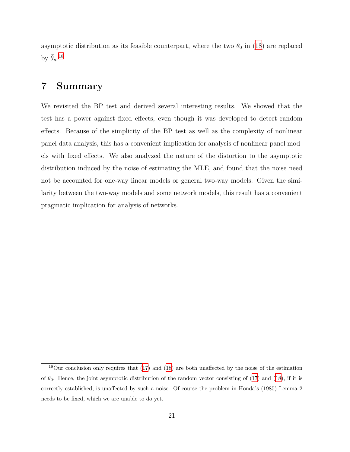asymptotic distribution as its feasible counterpart, where the two  $\theta_0$  in ([18](#page-19-2)) are replaced by  $\bar{\theta}_n$ <sup>18</sup>

# **7 Summary**

We revisited the BP test and derived several interesting results. We showed that the test has a power against fixed effects, even though it was developed to detect random effects. Because of the simplicity of the BP test as well as the complexity of nonlinear panel data analysis, this has a convenient implication for analysis of nonlinear panel models with fixed effects. We also analyzed the nature of the distortion to the asymptotic distribution induced by the noise of estimating the MLE, and found that the noise need not be accounted for one-way linear models or general two-way models. Given the similarity between the two-way models and some network models, this result has a convenient pragmatic implication for analysis of networks.

<sup>18</sup>Our conclusion only requires that [\(17](#page-19-0)) and [\(18](#page-19-2)) are both unaffected by the noise of the estimation of  $\theta_0$ . Hence, the joint asymptotic distribution of the random vector consisting of ([17\)](#page-19-0) and [\(18](#page-19-2)), if it is correctly established, is unaffected by such a noise. Of course the problem in Honda's (1985) Lemma 2 needs to be fixed, which we are unable to do yet.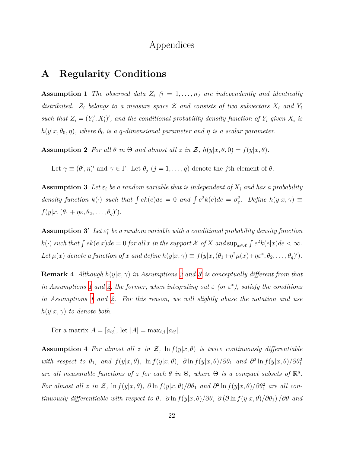### Appendices

# <span id="page-21-1"></span>**A Regularity Conditions**

<span id="page-21-0"></span>**Assumption 1** *The observed data*  $Z_i$  ( $i = 1, \ldots, n$ ) are independently and identically *distributed.*  $Z_i$  *belongs to a measure space*  $Z$  *and consists of two subvectors*  $X_i$  *and*  $Y_i$ such that  $Z_i = (Y'_i, X'_i)'$ , and the conditional probability density function of  $Y_i$  given  $X_i$  is  $h(y|x, \theta_0, \eta)$ , where  $\theta_0$  *is a q*-dimensional parameter and  $\eta$  *is a scalar parameter.* 

<span id="page-21-2"></span>**Assumption 2** *For all*  $\theta$  *in*  $\Theta$  *and almost all*  $z$  *in*  $\mathcal{Z}$ *,*  $h(y|x, \theta, 0) = f(y|x, \theta)$ *.* 

Let  $\gamma \equiv (\theta', \eta)'$  and  $\gamma \in \Gamma$ . Let  $\theta_j$   $(j = 1, \ldots, q)$  denote the *j*th element of  $\theta$ .

<span id="page-21-3"></span>**Assumption 3** Let  $\varepsilon_i$  be a random variable that is independent of  $X_i$  and has a probability density function  $k(\cdot)$  such that  $\int e^k(e)de = 0$  and  $\int e^2k(e)de = \sigma_{\varepsilon}^2$ . Define  $h(y|x, \gamma) \equiv$  $f(y|x, (\theta_1 + \eta \varepsilon, \theta_2, \dots, \theta_q)')$ .

**Assumption 3<sup>***′***</sup>** *Let* $\varepsilon_i^*$  *be a random variable with a conditional probability density function*  $k(\cdot)$  such that  $\int e k(e|x)de = 0$  for all x in the support X of X and  $\sup_{x \in \mathcal{X}} \int e^2 k(e|x)de < \infty$ . Let  $\mu(x)$  denote a function of x and define  $h(y|x, \gamma) \equiv f(y|x, (\theta_1 + \eta^2 \mu(x) + \eta \varepsilon^*, \theta_2, \dots, \theta_q)').$ 

**Remark 4** *Although h*(*y|x, γ*) *in Assumptions [3](#page-21-3) and [3](#page-21-3) ′ is conceptually different from that in Assumptions* [1](#page-21-0) *and* [2](#page-21-2), the former, when integrating out  $\varepsilon$  (or  $\varepsilon^*$ ), satisfy the conditions *in Assumptions [1](#page-21-0) and [2.](#page-21-2) For this reason, we will slightly abuse the notation and use*  $h(y|x, \gamma)$  *to denote both.* 

For a matrix  $A = [a_{ij}]$ , let  $|A| = \max_{i,j} |a_{ij}|$ .

<span id="page-21-4"></span>**Assumption 4** For almost all  $z$  in  $\mathcal{Z}$ ,  $\ln f(y|x, \theta)$  is twice continuously differentiable with respect to  $\theta_1$ , and  $f(y|x,\theta)$ ,  $\ln f(y|x,\theta)$ ,  $\partial \ln f(y|x,\theta)/\partial \theta_1$  and  $\partial^2 \ln f(y|x,\theta)/\partial \theta_1^2$ *are all measurable functions of z for each*  $\theta$  *in*  $\Theta$ *, where*  $\Theta$  *is a compact subsets of*  $\mathbb{R}^q$ *.* For almost all z in Z,  $\ln f(y|x, \theta)$ ,  $\partial \ln f(y|x, \theta)/\partial \theta_1$  and  $\partial^2 \ln f(y|x, \theta)/\partial \theta_1^2$  are all continuously differentiable with respect to  $\theta$ .  $\partial \ln f(y|x,\theta)/\partial \theta$ ,  $\partial (\partial \ln f(y|x,\theta)/\partial \theta_1)/\partial \theta$  and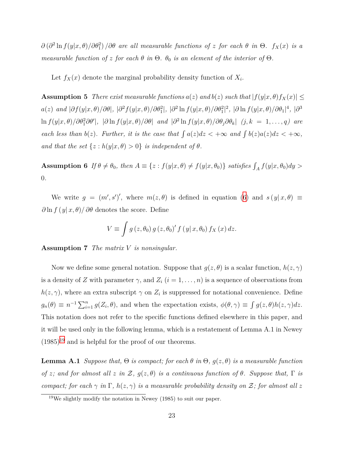$∂$  ( $∂$ <sup>2</sup> ln  $f(y|x, θ)/∂θ$ <sub>1</sub><sup>2</sup>) */∂* $θ$  *are all measurable functions of z for each*  $θ$  *in*  $Θ$ *. f*<sub>*X*</sub>(*x*) *is a measurable function of z for each*  $\theta$  *in*  $\Theta$ *.*  $\theta_0$  *is an element of the interior of*  $\Theta$ *.* 

Let  $f_X(x)$  denote the marginal probability density function of  $X_i$ .

<span id="page-22-1"></span>**Assumption 5** *There exist measurable functions*  $a(z)$  *and*  $b(z)$  *such that*  $|f(y|x, \theta)f_X(x)| \le$  $a(z)\;\;and\;|\partial f(y|x,\theta)/\partial\theta|,\;|\partial^2 f(y|x,\theta)/\partial\theta_1^2|,\;|\partial^2\ln f(y|x,\theta)/\partial\theta_1^2|^2,\;|\partial\ln f(y|x,\theta)/\partial\theta_1|^4,\;|\partial^3\theta_1|^2\leq\delta$  $\ln f(y|x,\theta)/\partial\theta_1^2\partial\theta'|$ ,  $|\partial \ln f(y|x,\theta)/\partial\theta|$  and  $|\partial^2 \ln f(y|x,\theta)/\partial\theta_j\partial\theta_k|$   $(j,k = 1,\ldots,q)$  are *each less than*  $b(z)$ *. Further, it is the case that*  $\int a(z)dz < +\infty$  *and*  $\int b(z)a(z)dz < +\infty$ *, and that the set*  $\{z : h(y|x, \theta) > 0\}$  *is independent of*  $\theta$ *.* 

**Assumption 6** If  $\theta \neq \theta_0$ , then  $A \equiv \{z : f(y|x, \theta) \neq f(y|x, \theta_0)\}\$  satisfies  $\int_A f(y|x, \theta_0) dy >$ 0*.*

We write  $g = (m', s')'$ , where  $m(z, \theta)$  is defined in equation [\(6\)](#page-7-0) and  $s(y|x, \theta) \equiv$  $\partial \ln f(y|x,\theta)/\partial \theta$  denotes the score. Define

$$
V \equiv \int g\left(z, \theta_0\right) g\left(z, \theta_0\right)' f\left(y \mid x, \theta_0\right) f_X\left(x\right) dz.
$$

<span id="page-22-0"></span>**Assumption 7** *The matrix V is nonsingular.*

Now we define some general notation. Suppose that  $g(z, \theta)$  is a scalar function,  $h(z, \gamma)$ is a density of *Z* with parameter  $\gamma$ , and  $Z_i$  ( $i = 1, \ldots, n$ ) is a sequence of observations from  $h(z, \gamma)$ , where an extra subscript  $\gamma$  on  $Z_i$  is suppressed for notational convenience. Define  $g_n(\theta) \equiv n^{-1} \sum_{i=1}^n g(Z_i, \theta)$ , and when the expectation exists,  $\phi(\theta, \gamma) \equiv \int g(z, \theta) h(z, \gamma) dz$ . This notation does not refer to the specific functions defined elsewhere in this paper, and it will be used only in the following lemma, which is a restatement of Lemma A.1 in Newey  $(1985)^{19}$  and is helpful for the proof of our theorems.

<span id="page-22-2"></span>**Lemma A.1** *Suppose that,*  $\Theta$  *is compact; for each*  $\theta$  *in*  $\Theta$ *,*  $g(z, \theta)$  *is a measurable function of z;* and for almost all *z in*  $\mathcal{Z}$ *,*  $g(z, \theta)$  *is a continuous function of*  $\theta$ *. Suppose that,*  $\Gamma$  *is compact; for each*  $\gamma$  *in*  $\Gamma$ *,*  $h(z, \gamma)$  *is a measurable probability density on*  $\mathcal{Z}$ *; for almost all*  $z$ 

 $19$ We slightly modify the notation in Newey (1985) to suit our paper.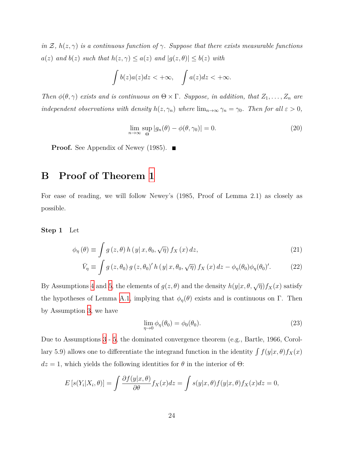*in*  $\mathcal{Z}, h(z, \gamma)$  *is a continuous function of*  $\gamma$ *. Suppose that there exists measurable functions a*(*z*) *and*  $b(z)$  *such that*  $h(z, \gamma) \leq a(z)$  *and*  $|g(z, \theta)| \leq b(z)$  *with* 

$$
\int b(z)a(z)dz < +\infty, \quad \int a(z)dz < +\infty.
$$

*Then*  $\phi(\theta, \gamma)$  *exists and is continuous on*  $\Theta \times \Gamma$ *. Suppose, in addition, that*  $Z_1, \ldots, Z_n$  *are independent observations with density*  $h(z, \gamma_n)$  *where*  $\lim_{n \to \infty} \gamma_n = \gamma_0$ *. Then for all*  $\varepsilon > 0$ *,* 

$$
\lim_{n \to \infty} \sup_{\Theta} |g_n(\theta) - \phi(\theta, \gamma_0)| = 0.
$$
\n(20)

**Proof.** See Appendix of Newey (1985). ■

# <span id="page-23-0"></span>**B Proof of Theorem [1](#page-8-2)**

For ease of reading, we will follow Newey's (1985, Proof of Lemma 2.1) as closely as possible.

**Step 1** Let

$$
\phi_{\eta}(\theta) \equiv \int g(z,\theta) h(y|x,\theta_0,\sqrt{\eta}) f_X(x) dz,
$$
\n
$$
\bar{V}_{\eta} \equiv \int g(z,\theta_0) g(z,\theta_0)' h(y|x,\theta_0,\sqrt{\eta}) f_X(x) dz - \phi_{\eta}(\theta_0) \phi_{\eta}(\theta_0)'.
$$
\n(22)

By Assumptions 4 and 5, the elements of 
$$
g(z, \theta)
$$
 and the density  $h(y|x, \theta, \sqrt{\eta}) f_X(x)$  satisfy

the hypotheses of Lemma [A.1,](#page-22-2) implying that  $\phi_{\eta}(\theta)$  exists and is continuous on Γ. Then by Assumption [3,](#page-21-3) we have

<span id="page-23-3"></span><span id="page-23-2"></span><span id="page-23-1"></span>
$$
\lim_{\eta \to 0} \phi_{\eta}(\theta_0) = \phi_0(\theta_0). \tag{23}
$$

Due to Assumptions [3](#page-21-3) - [5](#page-22-1), the dominated convergence theorem (e.g., Bartle, 1966, Corollary 5.9) allows one to differentiate the integrand function in the identity  $\int f(y|x,\theta) f_X(x)$  $dz = 1$ , which yields the following identities for  $\theta$  in the interior of  $\Theta$ :

$$
E\left[s(Y_i|X_i,\theta)\right] = \int \frac{\partial f(y|x,\theta)}{\partial \theta} f_X(x)dz = \int s(y|x,\theta)f(y|x,\theta)f_X(x)dz = 0,
$$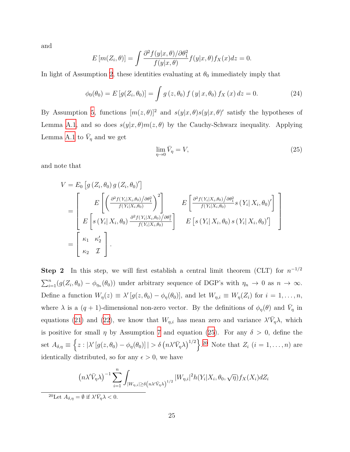and

$$
E\left[m(Z_i,\theta)\right] = \int \frac{\partial^2 f(y|x,\theta)/\partial \theta_1^2}{f(y|x,\theta)} f(y|x,\theta) f_X(x) dz = 0.
$$

In light of Assumption [2,](#page-21-2) these identities evaluating at  $\theta_0$  immediately imply that

<span id="page-24-1"></span>
$$
\phi_0(\theta_0) = E[g(Z_i, \theta_0)] = \int g(z, \theta_0) f(y | x, \theta_0) f_X(x) dz = 0.
$$
 (24)

By Assumption [5](#page-22-1), functions  $[m(z, \theta)]^2$  and  $s(y|x, \theta)s(y|x, \theta)'$  satisfy the hypotheses of Lemma [A.1](#page-22-2), and so does  $s(y|x, \theta) m(z, \theta)$  by the Cauchy-Schwarz inequality. Applying Lemma [A.1](#page-22-2) to  $\bar{V}_\eta$  and we get

<span id="page-24-0"></span>
$$
\lim_{\eta \to 0} \bar{V}_{\eta} = V,\tag{25}
$$

and note that

$$
V = E_0 \left[ g \left( Z_i, \theta_0 \right) g \left( Z_i, \theta_0 \right)' \right]
$$
  
\n
$$
= \begin{bmatrix} E \left[ \left( \frac{\partial^2 f(Y_i | X_i, \theta_0) / \partial \theta_1^2}{f(Y_i | X_i, \theta_0)} \right)^2 \right] & E \left[ \frac{\partial^2 f(Y_i | X_i, \theta_0) / \partial \theta_1^2}{f(Y_i | X_i, \theta_0)} s \left( Y_i | X_i, \theta_0 \right)' \right] \\ E \left[ s \left( Y_i | X_i, \theta_0 \right) \frac{\partial^2 f(Y_i | X_i, \theta_0) / \partial \theta_1^2}{f(Y_i | X_i, \theta_0)} \right] & E \left[ s \left( Y_i | X_i, \theta_0 \right) s \left( Y_i | X_i, \theta_0 \right)' \right] \\ E \left[ z \left( Y_i | X_i, \theta_0 \right) s \left( Y_i | X_i, \theta_0 \right)' \right] \end{bmatrix}
$$

**Step 2** In this step, we will first establish a central limit theorem (CLT) for *n −*1*/*2  $\sum_{i=1}^{n} (g(Z_i, \theta_0) - \phi_{\eta_n}(\theta_0))$  under arbitrary sequence of DGP's with  $\eta_n \to 0$  as  $n \to \infty$ . Define a function  $W_{\eta}(z) \equiv \lambda' [g(z, \theta_0) - \phi_{\eta}(\theta_0)],$  and let  $W_{\eta,i} \equiv W_{\eta}(Z_i)$  for  $i = 1, \ldots, n$ , where  $\lambda$  is a  $(q + 1)$ -dimensional non-zero vector. By the definitions of  $\phi_{\eta}(\theta)$  and  $\bar{V}_{\eta}$  in equations [\(21](#page-23-1)) and ([22](#page-23-2)), we know that  $W_{\eta,i}$  has mean zero and variance  $\lambda' \bar{V}_{\eta} \lambda$ , which is positive for small *η* by Assumption [7](#page-22-0) and equation ([25\)](#page-24-0). For any  $\delta > 0$ , define the set  $A_{\delta,\eta} \equiv \left\{ z : |\lambda'(g(z,\theta_0) - \phi_{\eta}(\theta_0)| \mid \delta \left( n \lambda' \bar{V}_{\eta} \lambda \right)^{1/2} \right\}$ . <sup>20</sup> Note that  $Z_i$   $(i = 1, \ldots, n)$  are identically distributed, so for any  $\epsilon > 0$ , we have

$$
(n\lambda'\bar{V}_{\eta}\lambda)^{-1}\sum_{i=1}^{n}\int_{|W_{\eta,i}|\geq \delta\left(n\lambda'\bar{V}_{\eta}\lambda\right)^{1/2}}|W_{\eta,i}|^{2}h(Y_{i}|X_{i},\theta_{0},\sqrt{\eta})f_{X}(X_{i})dZ_{i}
$$

<sup>20</sup>Let  $A_{\delta,\eta} = \emptyset$  if  $\lambda' \bar{V}_{\eta} \lambda < 0$ .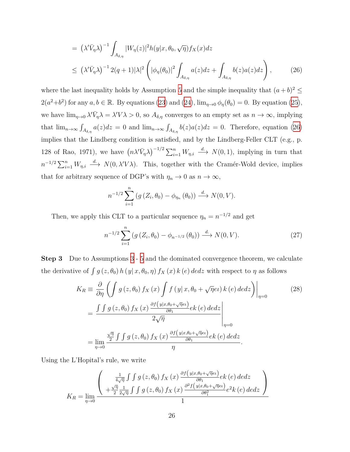<span id="page-25-0"></span>
$$
= \left(\lambda'\bar{V}_{\eta}\lambda\right)^{-1} \int_{A_{\delta,\eta}} |W_{\eta}(z)|^2 h(y|x,\theta_0,\sqrt{\eta}) f_X(x) dz
$$
  

$$
\leq \left(\lambda'\bar{V}_{\eta}\lambda\right)^{-1} 2(q+1)|\lambda|^2 \left(|\phi_{\eta}(\theta_0)|^2 \int_{A_{\delta,\eta}} a(z) dz + \int_{A_{\delta,\eta}} b(z) a(z) dz\right),
$$
 (26)

where the last inequality holds by Assumption [5](#page-22-1) and the simple inequality that  $(a + b)^2 \leq$  $2(a^2+b^2)$  for any  $a, b \in \mathbb{R}$ . By equations [\(23\)](#page-23-3) and [\(24\)](#page-24-1),  $\lim_{\eta \to 0} \phi_{\eta}(\theta_0) = 0$ . By equation ([25](#page-24-0)), we have  $\lim_{\eta\to 0} \lambda' \bar{V}_{\eta} \lambda = \lambda' V \lambda > 0$ , so  $A_{\delta,\eta}$  converges to an empty set as  $n \to \infty$ , implying that  $\lim_{n\to\infty} \int_{A_{\delta,\eta}} a(z)dz = 0$  and  $\lim_{n\to\infty} \int_{A_{\delta,\eta}} b(z)a(z)dz = 0$ . Therefore, equation ([26\)](#page-25-0) implies that the Lindberg condition is satisfied, and by the Lindberg-Feller CLT (e.g., p. 128 of Rao, 1971), we have  $(n\lambda'\bar{V}_n\lambda)^{-1/2}\sum_{i=1}^n W_{n,i} \stackrel{d}{\longrightarrow} N(0,1)$ , implying in turn that  $n^{-1/2} \sum_{i=1}^{n} W_{\eta,i} \stackrel{d}{\longrightarrow} N(0, \lambda' V \lambda)$ . This, together with the Cramér-Wold device, implies that for arbitrary sequence of DGP's with  $\eta_n \to 0$  as  $n \to \infty$ ,

$$
n^{-1/2} \sum_{i=1}^{n} \left( g\left(Z_i, \theta_0\right) - \phi_{\eta_n}\left(\theta_0\right) \right) \stackrel{d}{\longrightarrow} N(0, V).
$$

Then, we apply this CLT to a particular sequence  $\eta_n = n^{-1/2}$  and get

<span id="page-25-2"></span><span id="page-25-1"></span>
$$
n^{-1/2} \sum_{i=1}^{n} \left( g\left(Z_i, \theta_0\right) - \phi_{n^{-1/2}}\left(\theta_0\right) \right) \xrightarrow{d} N(0, V). \tag{27}
$$

**Step 3** Due to Assumptions [3](#page-21-3) - [5](#page-22-1) and the dominated convergence theorem, we calculate the derivative of  $\int g(z, \theta_0) h(y|x, \theta_0, \eta) f_X(x) k(e) \, d\nu dz$  with respect to  $\eta$  as follows

$$
K_R \equiv \frac{\partial}{\partial \eta} \left( \int g(z, \theta_0) f_X(x) \int f(y | x, \theta_0 + \sqrt{\eta} e^{\nu} \right) k(e) \, dedz \right) \Big|_{\eta=0}
$$
\n
$$
= \frac{\int \int g(z, \theta_0) f_X(x) \frac{\partial f(y | x, \theta_0 + \sqrt{\eta} e^{\nu})}{\partial \theta_1} e^{\nu} \, (e) \, dedz}{2\sqrt{\eta}} \Big|_{\eta=0}
$$
\n
$$
= \lim_{\eta \to 0} \frac{\frac{\sqrt{\eta}}{2} \int \int g(z, \theta_0) f_X(x) \frac{\partial f(y | x, \theta_0 + \sqrt{\eta} e^{\nu})}{\partial \theta_1} e^{\nu} \, (e) \, dedz}{\eta}.
$$
\n(28)

Using the L'Hopital's rule, we write

$$
K_{R} = \lim_{\eta \to 0} \frac{\left(\begin{array}{c} \frac{1}{4\sqrt{\eta}} \int \int g\left(z, \theta_{0}\right) f_{X}\left(x\right) \frac{\partial f\left(y|x, \theta_{0} + \sqrt{\eta}e\iota\right)}{\partial \theta_{1}} e k\left(e\right) de dz}{\sqrt{\eta}} \right)}{\frac{1}{4\sqrt{\eta}} \int \int g\left(z, \theta_{0}\right) f_{X}\left(x\right) \frac{\partial^{2} f\left(y|x, \theta_{0} + \sqrt{\eta}e\iota\right)}{\partial \theta_{1}^{2}} e^{2} k\left(e\right) de dz}{1} \right)}{\frac{1}{2\sqrt{\eta}} \int f\left(y|x, \theta_{0}\right) f_{X}\left(x\right) \frac{\partial^{2} f\left(y|x, \theta_{0} + \sqrt{\eta}e\iota\right)}{\partial \theta_{1}^{2}} e^{2} k\left(e\right) de dz}\right)}{\frac{1}{2\sqrt{\eta}} \int f\left(y|x, \theta_{0}\right) f_{X}\left(x\right) \frac{\partial f\left(y|x, \theta_{0} + \sqrt{\eta}e\iota\right)}{\partial \theta_{1}^{2}} e^{2} k\left(e\right) de dz}\right)}{\frac{1}{2\sqrt{\eta}} \int f\left(y|x, \theta_{0}\right) f_{X}\left(x\right) \frac{\partial f\left(y|x, \theta_{0} + \sqrt{\eta}e\iota\right)}{\partial \theta_{1}^{2}} e^{2} k\left(e\right) de dz}\right)}{\frac{1}{2\sqrt{\eta}} \int f\left(y|x, \theta_{0}\right) f_{X}\left(x\right) \frac{\partial f\left(y|x, \theta_{0} + \sqrt{\eta}e\iota\right)}{\partial \theta_{1}^{2}} e^{2} k\left(e\right) de dz}\right)}{\frac{1}{2\sqrt{\eta}} \int f\left(y|x, \theta_{0}\right) f_{X}\left(x\right) \frac{\partial f\left(y|x, \theta_{0} + \sqrt{\eta}e\iota\right)}{\partial \theta_{1}^{2}} e^{2} k\left(e\right) de dz}\right)}{\frac{1}{2\sqrt{\eta}} \int f\left(y|x, \theta_{0}\right) f_{X}\left(x\right) \frac{\partial f\left(y|x, \theta_{0} + \sqrt{\eta}e\iota\right)}{\partial \theta_{1}^{2}} e^{2} k\left(e\right) de dz}\right)}{\frac{1}{2\sqrt{\eta
$$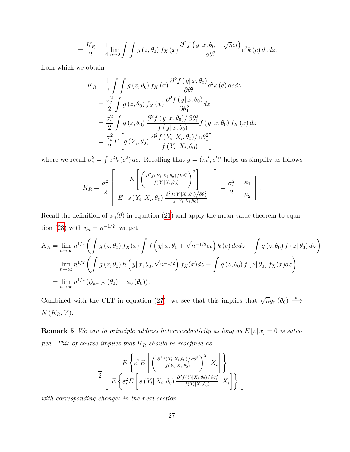$$
= \frac{K_R}{2} + \frac{1}{4} \lim_{\eta \to 0} \int \int g(z, \theta_0) f_X(x) \frac{\partial^2 f(y | x, \theta_0 + \sqrt{\eta} e^2)}{\partial \theta_1^2} e^2 k(e) \, dedz,
$$

from which we obtain

$$
K_R = \frac{1}{2} \int \int g(z, \theta_0) f_X(x) \frac{\partial^2 f(y|x, \theta_0)}{\partial \theta_1^2} e^2 k(e) \, dedz
$$
  
=  $\frac{\sigma_{\varepsilon}^2}{2} \int g(z, \theta_0) f_X(x) \frac{\partial^2 f(y|x, \theta_0)}{\partial \theta_1^2} dz$   
=  $\frac{\sigma_{\varepsilon}^2}{2} \int g(z, \theta_0) \frac{\partial^2 f(y|x, \theta_0)/\partial \theta_1^2}{f(y|x, \theta_0)} f(y|x, \theta_0) f_X(x) dz$   
=  $\frac{\sigma_{\varepsilon}^2}{2} E \left[ g(Z_i, \theta_0) \frac{\partial^2 f(Y_i|X_i, \theta_0)/\partial \theta_1^2}{f(Y_i|X_i, \theta_0)} \right],$ 

where we recall  $\sigma_{\varepsilon}^2 = \int e^2 k (e^2) de$ . Recalling that  $g = (m', s')'$  helps us simplify as follows

$$
K_R = \frac{\sigma_{\varepsilon}^2}{2} \left[ E \left[ \left( \frac{\frac{\partial^2 f(Y_i|X_i, \theta_0)}{\partial (Y_i|X_i, \theta_0)}}{f(Y_i|X_i, \theta_0)} \right)^2 \right] - \frac{\sigma_{\varepsilon}^2}{2} \left[ \kappa_1 \right] \right].
$$

Recall the definition of  $\phi_{\eta}(\theta)$  in equation [\(21\)](#page-23-1) and apply the mean-value theorem to equa-tion ([28](#page-25-1)) with  $\eta_n = n^{-1/2}$ , we get

$$
K_R = \lim_{n \to \infty} n^{1/2} \left( \int g(z, \theta_0) f_X(x) \int f(y|x, \theta_0 + \sqrt{n^{-1/2}} \, \mathrm{d}x) \, k(\epsilon) \, \mathrm{d} \epsilon \, \mathrm{d}z - \int g(z, \theta_0) f(z | \, \theta_0) \, \mathrm{d}z \right)
$$
  
= 
$$
\lim_{n \to \infty} n^{1/2} \left( \int g(z, \theta_0) \, h(y|x, \theta_0, \sqrt{n^{-1/2}}) f_X(x) \, \mathrm{d}z - \int g(z, \theta_0) f(z | \, \theta_0) f_X(x) \, \mathrm{d}z \right)
$$
  
= 
$$
\lim_{n \to \infty} n^{1/2} \left( \phi_{n^{-1/2}} \left( \theta_0 \right) - \phi_0 \left( \theta_0 \right) \right).
$$

Combined with the CLT in equation [\(27\)](#page-25-2), we see that this implies that  $\sqrt{n}g_n(\theta_0) \stackrel{d}{\longrightarrow}$  $N(K_R, V)$ .

<span id="page-26-0"></span>**Remark 5** *We can in principle address heteroscedasticity as long as*  $E[\epsilon | x] = 0$  *is satisfied. This of course implies that K<sup>R</sup> should be redefined as*

$$
\frac{1}{2} \left[ E \left\{ \varepsilon_i^2 E \left[ \left( \frac{\partial^2 f(Y_i | X_i, \theta_0) / \partial \theta_1^2}{f(Y_i | X_i, \theta_0)} \right)^2 \middle| X_i \right] \right\} - E \left\{ \varepsilon_i^2 E \left[ s \left( Y_i | X_i, \theta_0 \right) \frac{\partial^2 f(Y_i | X_i, \theta_0) / \partial \theta_1^2}{f(Y_i | X_i, \theta_0)} \middle| X_i \right] \right\} \right]
$$

*with corresponding changes in the next section.*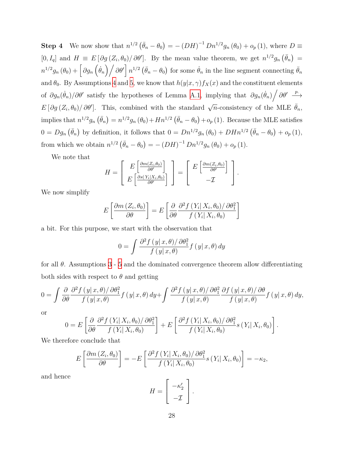**Step 4** We now show that  $n^{1/2} (\bar{\theta}_n - \theta_0) = -(DH)^{-1} Dn^{1/2} g_n(\theta_0) + o_p(1)$ , where  $D \equiv$  $[0, I_q]$  and  $H \equiv E[\partial g(Z_i, \theta_0)/\partial \theta']$ . By the mean value theorem, we get  $n^{1/2}g_n(\bar{\theta}_n)$  $n^{1/2}g_n(\theta_0)+\left[\partial g_n(\dot{\theta}_n)\big/\partial\theta'\right]n^{1/2}\left(\bar{\theta}_n-\theta_0\right)$  for some  $\dot{\theta}_n$  in the line segment connecting  $\bar{\theta}_n$ and  $\theta_0$ . By Assumptions [4](#page-21-4) and [5](#page-22-1), we know that  $h(y|x, \gamma) f_X(x)$  and the constituent elements of  $\partial g_n(\dot{\theta}_n)/\partial \theta'$  satisfy the hypotheses of Lemma [A.1](#page-22-2), implying that  $\partial g_n(\dot{\theta}_n)/\partial \theta' \stackrel{p}{\longrightarrow}$  $E[\partial g(Z_i, \theta_0)/\partial \theta']$ . This, combined with the standard  $\sqrt{n}$ -consistency of the MLE  $\bar{\theta}_n$ , implies that  $n^{1/2}g_n(\bar{\theta}_n)=n^{1/2}g_n(\theta_0)+Hn^{1/2}(\bar{\theta}_n-\theta_0)+o_p(1)$ . Because the MLE satisfies  $0 = Dg_n(\bar{\theta}_n)$  by definition, it follows that  $0 = Dn^{1/2}g_n(\theta_0) + DHn^{1/2}(\bar{\theta}_n - \theta_0) + o_p(1)$ , from which we obtain  $n^{1/2} (\bar{\theta}_n - \theta_0) = -(DH)^{-1} Dn^{1/2} g_n(\theta_0) + o_p(1)$ .

We note that

$$
H = \left[ E \left[ \frac{\frac{\partial m(Z_i, \theta_0)}{\partial \theta'}}{E \left[ \frac{\partial s(Y_i | X_i, \theta_0)}{\partial \theta'} \right]} \right] = \left[ E \left[ \frac{\frac{\partial m(Z_i, \theta_0)}{\partial \theta'}}{-\mathcal{I}} \right] \right].
$$

We now simplify

$$
E\left[\frac{\partial m\left(Z_i, \theta_0\right)}{\partial \theta}\right] = E\left[\frac{\partial}{\partial \theta} \frac{\partial^2 f\left(Y_i \mid X_i, \theta_0\right) / \partial \theta_1^2}{f\left(Y_i \mid X_i, \theta_0\right)}\right]
$$

a bit. For this purpose, we start with the observation that

$$
0 = \int \frac{\partial^2 f(y|x,\theta)/\partial \theta_1^2}{f(y|x,\theta)} f(y|x,\theta) dy
$$

for all  $\theta$ . Assumptions [3](#page-21-3) - [5](#page-22-1) and the dominated convergence theorem allow differentiating both sides with respect to  $\theta$  and getting

$$
0 = \int \frac{\partial}{\partial \theta} \frac{\partial^2 f(y|x,\theta)/\partial \theta_1^2}{f(y|x,\theta)} f(y|x,\theta) dy + \int \frac{\partial^2 f(y|x,\theta)/\partial \theta_1^2}{f(y|x,\theta)} \frac{\partial f(y|x,\theta)/\partial \theta}{f(y|x,\theta)} f(y|x,\theta) dy,
$$

or

$$
0 = E\left[\frac{\partial}{\partial \theta} \frac{\partial^2 f(Y_i | X_i, \theta_0) / \partial \theta_1^2}{f(Y_i | X_i, \theta_0)}\right] + E\left[\frac{\partial^2 f(Y_i | X_i, \theta_0) / \partial \theta_1^2}{f(Y_i | X_i, \theta_0)} s(Y_i | X_i, \theta_0)\right].
$$

We therefore conclude that

$$
E\left[\frac{\partial m\left(Z_i,\theta_0\right)}{\partial\theta}\right] = -E\left[\frac{\partial^2 f\left(Y_i|X_i,\theta_0\right)/\partial\theta_1^2}{f\left(Y_i|X_i,\theta_0\right)}s\left(Y_i|X_i,\theta_0\right)\right] = -\kappa_2,
$$

<span id="page-27-0"></span>and hence

$$
H = \left[ \begin{array}{c} -\kappa_2' \\ -\mathcal{I} \end{array} \right].
$$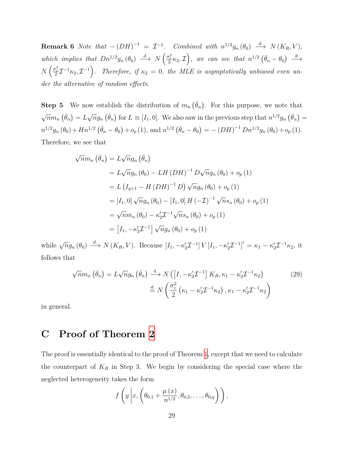**Remark 6** *Note that*  $-(DH)^{-1} = \mathcal{I}^{-1}$ *. Combined with*  $n^{1/2}g_n(\theta_0) \stackrel{d}{\longrightarrow} N(K_R, V)$ *,* which implies that  $Dn^{1/2}g_n(\theta_0) \stackrel{d}{\longrightarrow} N\left(\frac{\sigma_{\varepsilon}^2}{2}\kappa_2,\mathcal{I}\right)$ , we can see that  $n^{1/2}(\bar{\theta}_n-\theta_0) \stackrel{d}{\longrightarrow}$  $N\left(\frac{\sigma_{\varepsilon}^2}{2}\mathcal{I}^{-1}\kappa_2,\mathcal{I}^{-1}\right)$ . Therefore, if  $\kappa_2=0$ , the MLE is asymptotically unbiased even un*der the alternative of random effects.*

**Step 5** We now establish the distribution of  $m_n(\bar{\theta}_n)$ . For this purpose, we note that *√*  $\overline{n}m_n\left(\overline{\theta}_n\right)=L$ *√*  $\overline{n}g_n\left(\overline{\theta}_n\right)$  for  $L \equiv [I_1, 0]$ . We also saw in the previous step that  $n^{1/2}g_n\left(\overline{\theta}_n\right) =$  $n^{1/2}g_n(\theta_0) + Hn^{1/2}(\bar{\theta}_n - \theta_0) + o_p(1)$ , and  $n^{1/2}(\bar{\theta}_n - \theta_0) = -(DH)^{-1}Dn^{1/2}g_n(\theta_0) + o_p(1)$ . Therefore, we see that

$$
\sqrt{n}m_n\left(\bar{\theta}_n\right) = L\sqrt{n}g_n\left(\bar{\theta}_n\right)
$$
  
=  $L\sqrt{n}g_n\left(\theta_0\right) - LH\left(DH\right)^{-1}D\sqrt{n}g_n\left(\theta_0\right) + o_p\left(1\right)$   
=  $L\left(I_{q+1} - H\left(DH\right)^{-1}D\right)\sqrt{n}g_n\left(\theta_0\right) + o_p\left(1\right)$   
=  $[I_1, 0]\sqrt{n}g_n\left(\theta_0\right) - [I_1, 0]\ H\left(-\mathcal{I}\right)^{-1}\sqrt{n}s_n\left(\theta_0\right) + o_p\left(1\right)$   
=  $\sqrt{n}m_n\left(\theta_0\right) - \kappa_2'\mathcal{I}^{-1}\sqrt{n}s_n\left(\theta_0\right) + o_p\left(1\right)$   
=  $[I_1, -\kappa_2'\mathcal{I}^{-1}]\sqrt{n}g_n\left(\theta_0\right) + o_p\left(1\right)$ 

while  $\sqrt{n}g_n(\theta_0) \stackrel{d}{\longrightarrow} N(K_R, V)$ . Because  $[I_1, -\kappa'_2 \mathcal{I}^{-1}]V[I_1, -\kappa'_2 \mathcal{I}^{-1}]' = \kappa_1 - \kappa'_2 \mathcal{I}^{-1} \kappa_2$ , it follows that

$$
\sqrt{n}m_n\left(\bar{\theta}_n\right) = L\sqrt{n}g_n\left(\bar{\theta}_n\right) \xrightarrow{d} N\left(\left[I, -\kappa_2'\mathcal{I}^{-1}\right]K_R, \kappa_1 - \kappa_2'\mathcal{I}^{-1}\kappa_2\right) \tag{29}
$$
\n
$$
\stackrel{d}{=} N\left(\frac{\sigma_\varepsilon^2}{2}\left(\kappa_1 - \kappa_2'\mathcal{I}^{-1}\kappa_2\right), \kappa_1 - \kappa_2'\mathcal{I}^{-1}\kappa_2\right)
$$

in general.

# <span id="page-28-0"></span>**C Proof of Theorem [2](#page-11-1)**

The proof is essentially identical to the proof of Theorem [1](#page-8-2), except that we need to calculate the counterpart of  $K_R$  in Step 3. We begin by considering the special case where the neglected heterogeneity takes the form

<span id="page-28-1"></span>
$$
f\left(y\left|x,\left(\theta_{0,1}+\frac{\mu(x)}{n^{1/2}},\theta_{0,2},\ldots,\theta_{0,q}\right)\right.\right),\right.
$$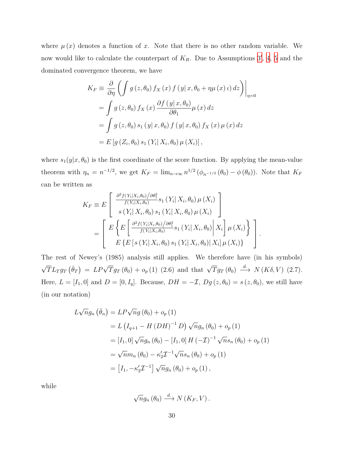where  $\mu(x)$  denotes a function of x. Note that there is no other random variable. We now would like to calculate the counterpart of *KR*. Due to Assumptions [3](#page-21-3) *′* , [4](#page-21-4), [5](#page-22-1) and the dominated convergence theorem, we have

$$
K_F \equiv \frac{\partial}{\partial \eta} \left( \int g(z, \theta_0) f_X(x) f(y|x, \theta_0 + \eta \mu(x) \iota) dz \right) \Big|_{\eta=0}
$$
  
= 
$$
\int g(z, \theta_0) f_X(x) \frac{\partial f(y|x, \theta_0)}{\partial \theta_1} \mu(x) dz
$$
  
= 
$$
\int g(z, \theta_0) s_1(y|x, \theta_0) f(y|x, \theta_0) f_X(x) \mu(x) dz
$$
  
= 
$$
E[g(Z_i, \theta_0) s_1(Y_i | X_i, \theta_0) \mu(X_i)],
$$

where  $s_1(y|x, \theta_0)$  is the first coordinate of the score function. By applying the mean-value theorem with  $\eta_n = n^{-1/2}$ , we get  $K_F = \lim_{n \to \infty} n^{1/2} (\phi_{n^{-1/2}}(\theta_0) - \phi(\theta_0))$ . Note that  $K_F$ can be written as

$$
K_{F} \equiv E \left[ \frac{\frac{\partial^{2} f(Y_{i}|X_{i},\theta_{0})/\partial \theta_{1}^{2}}{f(Y_{i}|X_{i},\theta_{0})} s_{1}(Y_{i}|X_{i},\theta_{0}) \mu(X_{i})}{s(Y_{i}|X_{i},\theta_{0}) s_{1}(Y_{i}|X_{i},\theta_{0}) \mu(X_{i})} \right]
$$
  
= 
$$
\left[ E \left\{ E \left[ \frac{\partial^{2} f(Y_{i}|X_{i},\theta_{0})/\partial \theta_{1}^{2}}{f(Y_{i}|X_{i},\theta_{0})} s_{1}(Y_{i}|X_{i},\theta_{0}) \middle| X_{i} \right] \mu(X_{i}) \right\} \right].
$$
  

$$
E \left\{ E \left[ s(Y_{i}|X_{i},\theta_{0}) s_{1}(Y_{i}|X_{i},\theta_{0}) \middle| X_{i} \right] \mu(X_{i}) \right\} \right].
$$

The rest of Newey's (1985) analysis still applies. We therefore have (in his symbols) *√*  $\overline{T}L_Tg_T(\bar{\theta}_T) = LP\sqrt{T}g_T(\theta_0) + o_p(1)$  (2.6) and that  $\sqrt{T}g_T(\theta_0) \stackrel{d}{\longrightarrow} N(K\delta, V)$  (2.7). Here,  $L = [I_1, 0]$  and  $D = [0, I_q]$ . Because,  $DH = -\mathcal{I}$ ,  $Dg(z, \theta_0) = s(z, \theta_0)$ , we still have (in our notation)

$$
L\sqrt{n}g_n\left(\bar{\theta}_n\right) = LP\sqrt{n}g\left(\theta_0\right) + o_p\left(1\right)
$$
  
=  $L\left(I_{q+1} - H\left(DH\right)^{-1}D\right)\sqrt{n}g_n\left(\theta_0\right) + o_p\left(1\right)$   
=  $[I_1, 0]\sqrt{n}g_n\left(\theta_0\right) - [I_1, 0]\ H\left(-\mathcal{I}\right)^{-1}\sqrt{n}s_n\left(\theta_0\right) + o_p\left(1\right)$   
=  $\sqrt{n}m_n\left(\theta_0\right) - \kappa_2'\mathcal{I}^{-1}\sqrt{n}s_n\left(\theta_0\right) + o_p\left(1\right)$   
=  $[I_1, -\kappa_2'\mathcal{I}^{-1}]\sqrt{n}g_n\left(\theta_0\right) + o_p\left(1\right),$ 

while

$$
\sqrt{n}g_n(\theta_0) \stackrel{d}{\longrightarrow} N(K_F, V).
$$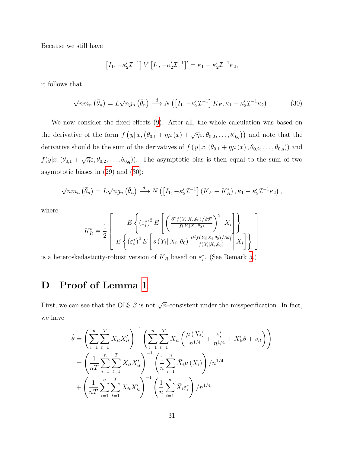Because we still have

$$
[I_1, -\kappa'_2 \mathcal{I}^{-1}] V [I_1, -\kappa'_2 \mathcal{I}^{-1}]' = \kappa_1 - \kappa'_2 \mathcal{I}^{-1} \kappa_2,
$$

it follows that

<span id="page-30-1"></span>
$$
\sqrt{n}m_n\left(\bar{\theta}_n\right) = L\sqrt{n}g_n\left(\bar{\theta}_n\right) \stackrel{d}{\longrightarrow} N\left(\left[I_1, -\kappa_2'\mathcal{I}^{-1}\right]K_F, \kappa_1 - \kappa_2'\mathcal{I}^{-1}\kappa_2\right). \tag{30}
$$

We now consider the fixed effects ([9\)](#page-11-0). After all, the whole calculation was based on the derivative of the form  $f(y|x, (\theta_{0,1} + \eta \mu(x) + \sqrt{\eta}\varepsilon, \theta_{0,2}, \dots, \theta_{0,q}))$  and note that the derivative should be the sum of the derivatives of  $f(y|x, (\theta_{0,1} + \eta \mu(x), \theta_{0,2}, \dots, \theta_{0,q}))$  and  $f(y|x, (\theta_{0,1} + \sqrt{\eta \varepsilon}, \theta_{0,2}, \dots, \theta_{0,q}))$ . The asymptotic bias is then equal to the sum of two asymptotic biases in [\(29](#page-28-1)) and ([30\)](#page-30-1):

$$
\sqrt{n}m_n\left(\bar{\theta}_n\right) = L\sqrt{n}g_n\left(\bar{\theta}_n\right) \stackrel{d}{\longrightarrow} N\left(\left[I_1, -\kappa_2'\mathcal{I}^{-1}\right]\left(K_F + K_R^*\right), \kappa_1 - \kappa_2'\mathcal{I}^{-1}\kappa_2\right),
$$

where

$$
K_{R}^{*} \equiv \frac{1}{2} \left[ E \left\{ \left( \varepsilon_{i}^{*} \right)^{2} E \left[ \left( \frac{\partial^{2} f(Y_{i} | X_{i}, \theta_{0}) / \partial \theta_{1}^{2}}{f(Y_{i} | X_{i}, \theta_{0})} \right)^{2} \middle| X_{i} \right] \right\}
$$

$$
E \left\{ \left( \varepsilon_{i}^{*} \right)^{2} E \left[ s \left( Y_{i} | X_{i}, \theta_{0} \right) \frac{\partial^{2} f(Y_{i} | X_{i}, \theta_{0}) / \partial \theta_{1}^{2}}{f(Y_{i} | X_{i}, \theta_{0})} \middle| X_{i} \right] \right\} \right]
$$

is a heteroskedasticity-robust version of  $K_R$  based on  $\varepsilon_i^*$ . (See Remark [5.](#page-26-0))

# <span id="page-30-0"></span>**D Proof of Lemma [1](#page-15-0)**

First, we can see that the OLS  $\hat{\beta}$  is not  $\sqrt{n}$ -consistent under the misspecification. In fact, we have

$$
\hat{\theta} = \left(\sum_{i=1}^{n} \sum_{t=1}^{T} X_{it} X_{it}' \right)^{-1} \left(\sum_{i=1}^{n} \sum_{t=1}^{T} X_{it} \left(\frac{\mu(X_i)}{n^{1/4}} + \frac{\varepsilon_i^*}{n^{1/4}} + X_{it}' \theta + v_{it}\right)\right)
$$
\n
$$
= \left(\frac{1}{nT} \sum_{i=1}^{n} \sum_{t=1}^{T} X_{it} X_{it}'\right)^{-1} \left(\frac{1}{n} \sum_{i=1}^{n} \bar{X}_{i} \mu(X_i)\right) / n^{1/4}
$$
\n
$$
+ \left(\frac{1}{nT} \sum_{i=1}^{n} \sum_{t=1}^{T} X_{it} X_{it}'\right)^{-1} \left(\frac{1}{n} \sum_{i=1}^{n} \bar{X}_{i} \varepsilon_i^*\right) / n^{1/4}
$$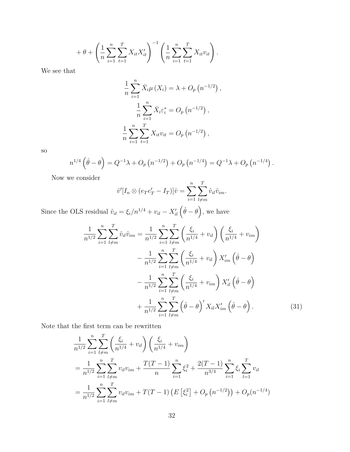$$
+ \theta + \left(\frac{1}{n}\sum_{i=1}^{n}\sum_{t=1}^{T}X_{it}X'_{it}\right)^{-1} \left(\frac{1}{n}\sum_{i=1}^{n}\sum_{t=1}^{T}X_{it}v_{it}\right).
$$

We see that

$$
\frac{1}{n} \sum_{i=1}^{n} \bar{X}_{i} \mu(X_{i}) = \lambda + O_{p}(n^{-1/2}),
$$

$$
\frac{1}{n} \sum_{i=1}^{n} \bar{X}_{i} \varepsilon_{i}^{*} = O_{p}(n^{-1/2}),
$$

$$
\frac{1}{n} \sum_{i=1}^{n} \sum_{t=1}^{T} X_{it} v_{it} = O_{p}(n^{-1/2}),
$$

so

$$
n^{1/4}(\hat{\theta}-\theta) = Q^{-1}\lambda + O_p(n^{-1/2}) + O_p(n^{-1/4}) = Q^{-1}\lambda + O_p(n^{-1/4}).
$$

Now we consider

<span id="page-31-0"></span>
$$
\hat{v}'[I_n \otimes (e_T e'_T - I_T)]\hat{v} = \sum_{i=1}^n \sum_{l \neq m}^T \hat{v}_{il} \hat{v}_{im}.
$$

Since the OLS residual  $\hat{v}_{il} = \xi_i/n^{1/4} + v_{il} - X'_{il}(\hat{\theta} - \theta)$ , we have

$$
\frac{1}{n^{1/2}} \sum_{i=1}^{n} \sum_{l \neq m}^{T} \hat{v}_{il} \hat{v}_{im} = \frac{1}{n^{1/2}} \sum_{i=1}^{n} \sum_{l \neq m}^{T} \left( \frac{\xi_i}{n^{1/4}} + v_{il} \right) \left( \frac{\xi_i}{n^{1/4}} + v_{im} \right)
$$

$$
- \frac{1}{n^{1/2}} \sum_{i=1}^{n} \sum_{l \neq m}^{T} \left( \frac{\xi_i}{n^{1/4}} + v_{il} \right) X'_{im} \left( \hat{\theta} - \theta \right)
$$

$$
- \frac{1}{n^{1/2}} \sum_{i=1}^{n} \sum_{l \neq m}^{T} \left( \frac{\xi_i}{n^{1/4}} + v_{im} \right) X'_{il} \left( \hat{\theta} - \theta \right)
$$

$$
+ \frac{1}{n^{1/2}} \sum_{i=1}^{n} \sum_{l \neq m}^{T} \left( \hat{\theta} - \theta \right)' X_{il} X'_{im} \left( \hat{\theta} - \theta \right).
$$
(31)

Note that the first term can be rewritten

$$
\frac{1}{n^{1/2}} \sum_{i=1}^{n} \sum_{l \neq m}^{T} \left( \frac{\xi_i}{n^{1/4}} + v_{il} \right) \left( \frac{\xi_i}{n^{1/4}} + v_{im} \right)
$$
\n
$$
= \frac{1}{n^{1/2}} \sum_{i=1}^{n} \sum_{l \neq m}^{T} v_{il} v_{im} + \frac{T(T-1)}{n} \sum_{i=1}^{n} \xi_i^2 + \frac{2(T-1)}{n^{3/4}} \sum_{i=1}^{n} \xi_i \sum_{l=1}^{T} v_{il}
$$
\n
$$
= \frac{1}{n^{1/2}} \sum_{i=1}^{n} \sum_{l \neq m}^{T} v_{il} v_{im} + T(T-1) \left( E \left[ \xi_i^2 \right] + O_p \left( n^{-1/2} \right) \right) + O_p(n^{-1/4})
$$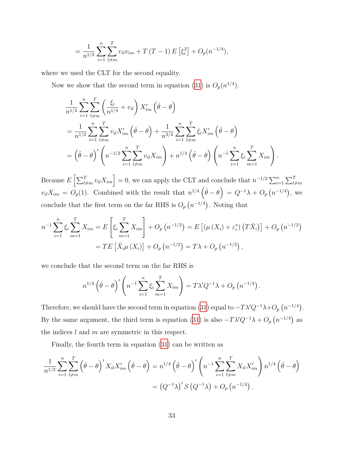$$
= \frac{1}{n^{1/2}} \sum_{i=1}^{n} \sum_{l \neq m}^{T} v_{il} v_{im} + T(T-1) E\left[\xi_i^2\right] + O_p(n^{-1/4}),
$$

where we used the CLT for the second equality.

Now we show that the second term in equation [\(31\)](#page-31-0) is  $O_p(n^{1/4})$ .

$$
\frac{1}{n^{1/2}} \sum_{i=1}^{n} \sum_{l \neq m}^{T} \left( \frac{\xi_i}{n^{1/4}} + v_{il} \right) X'_{im} \left( \hat{\theta} - \theta \right)
$$
\n
$$
= \frac{1}{n^{1/2}} \sum_{i=1}^{n} \sum_{l \neq m}^{T} v_{il} X'_{im} \left( \hat{\theta} - \theta \right) + \frac{1}{n^{3/4}} \sum_{i=1}^{n} \sum_{l \neq m}^{T} \xi_i X'_{im} \left( \hat{\theta} - \theta \right)
$$
\n
$$
= \left( \hat{\theta} - \theta \right)' \left( n^{-1/2} \sum_{i=1}^{n} \sum_{l \neq m}^{T} v_{il} X_{im} \right) + n^{1/4} \left( \hat{\theta} - \theta \right) \left( n^{-1} \sum_{i=1}^{n} \xi_i \sum_{m=1}^{T} X_{im} \right).
$$

 $\text{Because } E\left[\sum_{l \neq m}^{T} v_{il} X_{im}\right] = 0$ , we can apply the CLT and conclude that  $n^{-1/2} \sum_{i=1}^{n} \sum_{l \neq m}^{T}$  $v_{il}X_{im} = O_p(1)$ . Combined with the result that  $n^{1/4}(\hat{\theta} - \theta) = Q^{-1}\lambda + O_p(n^{-1/4})$ , we conclude that the first term on the far RHS is  $O_p(n^{-1/4})$ . Noting that

$$
n^{-1} \sum_{i=1}^{n} \xi_i \sum_{m=1}^{T} X_{im} = E \left[ \xi_i \sum_{m=1}^{T} X_{im} \right] + O_p \left( n^{-1/2} \right) = E \left[ \left( \mu \left( X_i \right) + \varepsilon_i^* \right) \left( T \bar{X}_i \right) \right] + O_p \left( n^{-1/2} \right)
$$
  
=  $TE \left[ \bar{X}_i \mu \left( X_i \right) \right] + O_p \left( n^{-1/2} \right) = T \lambda + O_p \left( n^{-1/2} \right),$ 

we conclude that the second term on the far RHS is

$$
n^{1/4} (\hat{\theta} - \theta)' \left( n^{-1} \sum_{i=1}^n \xi_i \sum_{m=1}^T X_{im} \right) = T \lambda' Q^{-1} \lambda + O_p (n^{-1/4}).
$$

Therefore, we should have the second term in equation [\(31\)](#page-31-0) equal to  $-T\lambda'Q^{-1}\lambda+O_p(n^{-1/4})$ . By the same argument, the third term is equation ([31\)](#page-31-0) is also  $-T\lambda'Q^{-1}\lambda + O_p(n^{-1/4})$  as the indices *l* and *m* are symmetric in this respect.

Finally, the fourth term in equation ([31](#page-31-0)) can be written as

$$
\frac{1}{n^{1/2}} \sum_{i=1}^{n} \sum_{l \neq m}^{T} (\hat{\theta} - \theta)^{l} X_{il} X'_{im} (\hat{\theta} - \theta) = n^{1/4} (\hat{\theta} - \theta)^{l} \left( n^{-1} \sum_{i=1}^{n} \sum_{l \neq m}^{T} X_{il} X'_{im} \right) n^{1/4} (\hat{\theta} - \theta)
$$

$$
= (Q^{-1} \lambda)^{l} S (Q^{-1} \lambda) + O_p (n^{-1/4}).
$$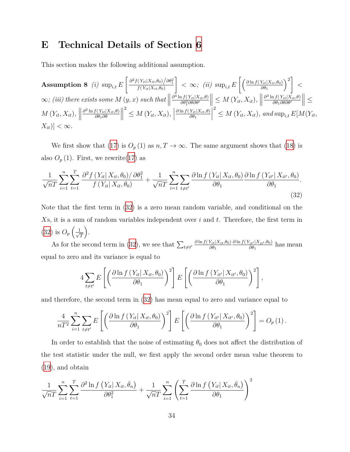# <span id="page-33-0"></span>**E Technical Details of Section [6](#page-17-0)**

This section makes the following additional assumption.

Assumption 8 (i) 
$$
\sup_{i,t} E\left[\frac{\partial^2 f(Y_{it}|X_{it}, \theta_0)/\partial \theta_1^2}{f(Y_{it}|X_{it}, \theta_0)}\right] < \infty
$$
; (ii)  $\sup_{i,t} E\left[\left(\frac{\partial \ln f(Y_{it}|X_{it}, \theta_0)}{\partial \theta_1}\right)^2\right] < \infty$ ;  
\n(iii) there exists some  $M(y, x)$  such that  $\left\|\frac{\partial^4 \ln f(Y_{it}|X_{it}, \theta)}{\partial \theta_1^2 \partial \theta \partial \theta'}\right\| \leq M(Y_{it}, X_{it})$ ,  $\left\|\frac{\partial^3 \ln f(Y_{it}|X_{it}, \theta)}{\partial \theta_1 \partial \theta \partial \theta'}\right\| \leq M(Y_{it}, X_{it})$ , and  $\sup_{i,t} E[M(Y_{it}, X_{it})] < \infty$ .

We first show that ([17](#page-19-0)) is  $O_p(1)$  as  $n, T \to \infty$ . The same argument shows that [\(18](#page-19-2)) is also  $O_p(1)$ . First, we rewrite([17\)](#page-19-0) as

<span id="page-33-1"></span>
$$
\frac{1}{\sqrt{n}T}\sum_{i=1}^{n}\sum_{t=1}^{T}\frac{\partial^2 f(Y_{it}|X_{it},\theta_0)/\partial\theta_1^2}{f(Y_{it}|X_{it},\theta_0)} + \frac{1}{\sqrt{n}T}\sum_{i=1}^{n}\sum_{t\neq t'}\frac{\partial\ln f(Y_{it}|X_{it},\theta_0)}{\partial\theta_1}\frac{\partial\ln f(Y_{it}|X_{it'},\theta_0)}{\partial\theta_1}.
$$
\n(32)

Note that the first term in ([32](#page-33-1)) is a zero mean random variable, and conditional on the *X*s, it is a sum of random variables independent over *i* and *t*. Therefore, the first term in  $(32)$  $(32)$  $(32)$  is  $O_p\left(\frac{1}{\sqrt{2}}\right)$ *T* .

As for the second term in [\(32\)](#page-33-1), we see that  $\sum_{t \neq t'} \frac{\partial \ln f(Y_{it} | X_{it}, \theta_0)}{\partial \theta_1}$  $\frac{\partial \ln f(Y_{it'}|X_{it'}, \theta_0)}{}$  $\frac{d}{d\theta_1}^{i t^{1} | A_{it'}, \theta_0)}$  has mean equal to zero and its variance is equal to

$$
4\sum_{t\neq t'} E\left[\left(\frac{\partial \ln f\left(Y_{it}|X_{it},\theta_0\right)}{\partial \theta_1}\right)^2\right] E\left[\left(\frac{\partial \ln f\left(Y_{it'}|X_{it'},\theta_0\right)}{\partial \theta_1}\right)^2\right],
$$

and therefore, the second term in [\(32\)](#page-33-1) has mean equal to zero and variance equal to

$$
\frac{4}{nT^2} \sum_{i=1}^n \sum_{t \neq t'} E\left[ \left( \frac{\partial \ln f\left( Y_{it} | X_{it}, \theta_0 \right)}{\partial \theta_1} \right)^2 \right] E\left[ \left( \frac{\partial \ln f\left( Y_{it'} | X_{it'}, \theta_0 \right)}{\partial \theta_1} \right)^2 \right] = O_p(1).
$$

In order to establish that the noise of estimating  $\theta_0$  does not affect the distribution of the test statistic under the null, we first apply the second order mean value theorem to ([19](#page-19-1)), and obtain

$$
\frac{1}{\sqrt{n}T}\sum_{i=1}^{n}\sum_{t=1}^{T}\frac{\partial^2\ln f\left(Y_{it}|X_{it},\bar{\theta}_n\right)}{\partial\theta_1^2} + \frac{1}{\sqrt{n}T}\sum_{i=1}^{n}\left(\sum_{t=1}^{T}\frac{\partial\ln f\left(Y_{it}|X_{it},\bar{\theta}_n\right)}{\partial\theta_1}\right)^2
$$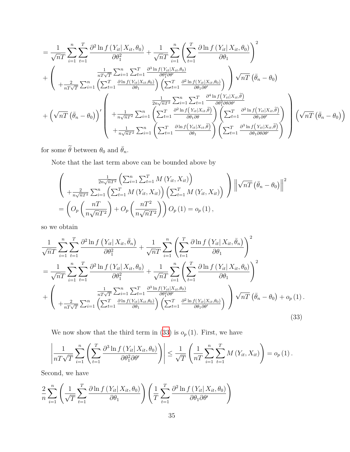$$
= \frac{1}{\sqrt{nT}} \sum_{i=1}^{n} \sum_{t=1}^{T} \frac{\partial^2 \ln f(Y_{it}|X_{it}, \theta_0)}{\partial \theta_1^2} + \frac{1}{\sqrt{nT}} \sum_{i=1}^{n} \left( \sum_{t=1}^{T} \frac{\partial \ln f(Y_{it}|X_{it}, \theta_0)}{\partial \theta_1} \right)^2
$$
  
+ 
$$
\left( \frac{\frac{1}{nT\sqrt{T}} \sum_{i=1}^{n} \sum_{t=1}^{T} \frac{\partial^3 \ln f(Y_{it}|X_{it}, \theta_0)}{\partial \theta_1^2 \partial \theta'}}{\frac{1}{nT\sqrt{T}} \sum_{i=1}^{n} \left( \sum_{t=1}^{T} \frac{\partial \ln f(Y_{it}|X_{it}, \theta_0)}{\partial \theta_1} \right) \left( \sum_{t=1}^{T} \frac{\partial^2 \ln f(Y_{it}|X_{it}, \theta_0)}{\partial \theta_1 \partial \theta'} \right) \right) \sqrt{nT} \left( \bar{\theta}_n - \theta_0 \right)
$$
  
+ 
$$
\left( \sqrt{nT} \left( \bar{\theta}_n - \theta_0 \right) \right)' \left( \frac{\frac{1}{2n\sqrt{nT^2}} \sum_{i=1}^{n} \sum_{t=1}^{T} \frac{\partial^4 \ln f(Y_{it}|X_{it}, \tilde{\theta})}{\partial \theta_1 \partial \theta}}{\partial \theta_1 \partial \theta} \right) \left( \sum_{t=1}^{T} \frac{\partial^2 \ln f(Y_{it}|X_{it}, \tilde{\theta})}{\partial \theta_1 \partial \theta' \partial \theta' \partial \theta' \partial \theta'} \right) \left( \sum_{t=1}^{T} \frac{\partial^2 \ln f(Y_{it}|X_{it}, \tilde{\theta})}{\partial \theta_1 \partial \theta' \partial \theta'} \right) \left( \sum_{t=1}^{T} \frac{\partial^2 \ln f(Y_{it}|X_{it}, \tilde{\theta})}{\partial \theta_1 \partial \theta' \partial \theta' \partial \theta'} \right) \left( \sum_{t=1}^{T} \frac{\partial^3 \ln f(Y_{it}|X_{it}, \tilde{\theta})}{\partial \theta_1 \partial \theta' \partial \theta' \partial \theta'} \right) \right)
$$

for some  $\widetilde{\theta}$  between  $\theta_0$  and  $\bar{\theta}_n.$ 

Note that the last term above can be bounded above by

$$
\begin{aligned}\n&\left(\frac{\frac{1}{2n\sqrt{n}T^2}\left(\sum_{i=1}^n\sum_{t=1}^T M(Y_{it}, X_{it})\right)}{+\frac{2}{n\sqrt{n}T^2}\sum_{i=1}^n\left(\sum_{t=1}^T M(Y_{it}, X_{it})\right)\left(\sum_{t=1}^T M(Y_{it}, X_{it})\right)}\right)\left\|\sqrt{n}T\left(\bar{\theta}_n - \theta_0\right)\right\|^2 \\
&= \left(O_p\left(\frac{n}{n\sqrt{n}T^2}\right) + O_p\left(\frac{nT^2}{n\sqrt{n}T^2}\right)\right)O_p\left(1\right) = o_p\left(1\right),\n\end{aligned}
$$

so we obtain

$$
\frac{1}{\sqrt{n}T} \sum_{i=1}^{n} \sum_{t=1}^{T} \frac{\partial^2 \ln f(Y_{it} | X_{it}, \bar{\theta}_n)}{\partial \theta_1^2} + \frac{1}{\sqrt{n}T} \sum_{i=1}^{n} \left( \sum_{t=1}^{T} \frac{\partial \ln f(Y_{it} | X_{it}, \bar{\theta}_n)}{\partial \theta_1} \right)^2
$$
\n
$$
= \frac{1}{\sqrt{n}T} \sum_{i=1}^{n} \sum_{t=1}^{T} \frac{\partial^2 \ln f(Y_{it} | X_{it}, \theta_0)}{\partial \theta_1^2} + \frac{1}{\sqrt{n}T} \sum_{i=1}^{n} \left( \sum_{t=1}^{T} \frac{\partial \ln f(Y_{it} | X_{it}, \theta_0)}{\partial \theta_1} \right)^2
$$
\n
$$
+ \left( \frac{\frac{1}{nT\sqrt{T}} \sum_{i=1}^{n} \sum_{t=1}^{T} \frac{\partial^3 \ln f(Y_{it} | X_{it}, \theta_0)}{\partial \theta_1^2 \partial \theta_1^2}}{\frac{\partial^2 \ln f(Y_{it} | X_{it}, \theta_0)}{\partial \theta_1^2 \partial \theta_1^2}} \right) \sqrt{n} \left( \bar{\theta}_n - \theta_0 \right) + o_p(1).
$$
\n(33)

<span id="page-34-0"></span>We now show that the third term in  $(33)$  $(33)$  is  $o_p(1)$ . First, we have

$$
\left|\frac{1}{nT\sqrt{T}}\sum_{i=1}^n\left(\sum_{t=1}^T\frac{\partial^3\ln f(Y_{it}|X_{it},\theta_0)}{\partial\theta_1^2\partial\theta'}\right)\right|\leq\frac{1}{\sqrt{T}}\left(\frac{1}{nT}\sum_{i=1}^n\sum_{t=1}^T M(Y_{it},X_{it})\right)=o_p(1).
$$

Second, we have

$$
\frac{2}{n} \sum_{i=1}^{n} \left( \frac{1}{\sqrt{T}} \sum_{t=1}^{T} \frac{\partial \ln f\left(Y_{it} | X_{it}, \theta_{0}\right)}{\partial \theta_{1}} \right) \left( \frac{1}{T} \sum_{t=1}^{T} \frac{\partial^{2} \ln f\left(Y_{it} | X_{it}, \theta_{0}\right)}{\partial \theta_{1} \partial \theta'} \right)
$$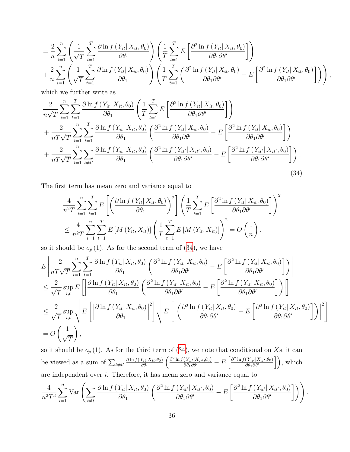$$
= \frac{2}{n} \sum_{i=1}^{n} \left( \frac{1}{\sqrt{T}} \sum_{t=1}^{T} \frac{\partial \ln f(Y_{it} | X_{it}, \theta_0)}{\partial \theta_1} \right) \left( \frac{1}{T} \sum_{t=1}^{T} E\left[ \frac{\partial^2 \ln f(Y_{it} | X_{it}, \theta_0)}{\partial \theta_1 \partial \theta'} \right] \right) + \frac{2}{n} \sum_{i=1}^{n} \left( \frac{1}{\sqrt{T}} \sum_{t=1}^{T} \frac{\partial \ln f(Y_{it} | X_{it}, \theta_0)}{\partial \theta_1} \right) \left( \frac{1}{T} \sum_{t=1}^{T} \left( \frac{\partial^2 \ln f(Y_{it} | X_{it}, \theta_0)}{\partial \theta_1 \partial \theta'} - E\left[ \frac{\partial^2 \ln f(Y_{it} | X_{it}, \theta_0)}{\partial \theta_1 \partial \theta'} \right] \right) \right),
$$

which we further write as

$$
\frac{2}{n\sqrt{T}}\sum_{i=1}^{n}\sum_{t=1}^{T}\frac{\partial\ln f(Y_{it}|X_{it},\theta_{0})}{\partial\theta_{1}}\left(\frac{1}{T}\sum_{t=1}^{T}E\left[\frac{\partial^{2}\ln f(Y_{it}|X_{it},\theta_{0})}{\partial\theta_{1}\partial\theta'}\right]\right) \n+\frac{2}{nT\sqrt{T}}\sum_{i=1}^{n}\sum_{t=1}^{T}\frac{\partial\ln f(Y_{it}|X_{it},\theta_{0})}{\partial\theta_{1}}\left(\frac{\partial^{2}\ln f(Y_{it}|X_{it},\theta_{0})}{\partial\theta_{1}\partial\theta'}-E\left[\frac{\partial^{2}\ln f(Y_{it}|X_{it},\theta_{0})}{\partial\theta_{1}\partial\theta'}\right]\right) \n+\frac{2}{nT\sqrt{T}}\sum_{i=1}^{n}\sum_{t\neq t'}\frac{\partial\ln f(Y_{it}|X_{it},\theta_{0})}{\partial\theta_{1}}\left(\frac{\partial^{2}\ln f(Y_{it}|X_{it'},\theta_{0})}{\partial\theta_{1}\partial\theta'}-E\left[\frac{\partial^{2}\ln f(Y_{it}|X_{it'},\theta_{0})}{\partial\theta_{1}\partial\theta'}\right]\right).
$$
\n(34)

The first term has mean zero and variance equal to

<span id="page-35-0"></span>
$$
\frac{4}{n^2 T} \sum_{i=1}^n \sum_{t=1}^T E\left[ \left( \frac{\partial \ln f(Y_{it} | X_{it}, \theta_0)}{\partial \theta_1} \right)^2 \right] \left( \frac{1}{T} \sum_{t=1}^T E\left[ \frac{\partial^2 \ln f(Y_{it} | X_{it}, \theta_0)}{\partial \theta_1 \partial \theta'} \right] \right)^2
$$
\n
$$
\leq \frac{4}{n^2 T} \sum_{i=1}^n \sum_{t=1}^T E\left[ M(Y_{it}, X_{it}) \right] \left( \frac{1}{T} \sum_{t=1}^T E\left[ M(Y_{it}, X_{it}) \right] \right)^2 = O\left( \frac{1}{n} \right),
$$

so it should be  $o_p(1)$ . As for the second term of  $(34)$  $(34)$ , we have

$$
E\left|\frac{2}{nT\sqrt{T}}\sum_{i=1}^{n}\sum_{t=1}^{T}\frac{\partial\ln f(Y_{it}|X_{it},\theta_{0})}{\partial\theta_{1}}\left(\frac{\partial^{2}\ln f(Y_{it}|X_{it},\theta_{0})}{\partial\theta_{1}\partial\theta'} - E\left[\frac{\partial^{2}\ln f(Y_{it}|X_{it},\theta_{0})}{\partial\theta_{1}\partial\theta'}\right]\right)\right|
$$
  
\n
$$
\leq \frac{2}{\sqrt{T}}\sup_{i,t} E\left[\left|\frac{\partial\ln f(Y_{it}|X_{it},\theta_{0})}{\partial\theta_{1}}\left(\frac{\partial^{2}\ln f(Y_{it}|X_{it},\theta_{0})}{\partial\theta_{1}\partial\theta'} - E\left[\frac{\partial^{2}\ln f(Y_{it}|X_{it},\theta_{0})}{\partial\theta_{1}\partial\theta'}\right]\right)\right|\right]
$$
  
\n
$$
\leq \frac{2}{\sqrt{T}}\sup_{i,t}\sqrt{E\left[\left|\frac{\partial\ln f(Y_{it}|X_{it},\theta_{0})}{\partial\theta_{1}}\right|^{2}\right]}\sqrt{E\left[\left|\left(\frac{\partial^{2}\ln f(Y_{it}|X_{it},\theta_{0})}{\partial\theta_{1}\partial\theta'} - E\left[\frac{\partial^{2}\ln f(Y_{it}|X_{it},\theta_{0})}{\partial\theta_{1}\partial\theta'}\right]\right)\right|^{2}\right]}
$$
  
\n=  $O\left(\frac{1}{\sqrt{T}}\right),$ 

so it should be  $o_p(1)$ . As for the third term of  $(34)$  $(34)$ , we note that conditional on Xs, it can be viewed as a sum of  $\sum_{t \neq t'} \frac{\partial \ln f(Y_{it} | X_{it}, \theta_0)}{\partial \theta_1}$  $\left(\frac{\partial^2 \ln f(Y_{it'}|X_{it'},\theta_0)}{\partial \theta_1 \partial \theta'} - E\left[\frac{\partial^2 \ln f(Y_{it'}|X_{it'},\theta_0)}{\partial \theta_1 \partial \theta'}\right]\right)$  $\left(\frac{Y_{it'}|X_{it'},\theta_0)}{\partial \theta_1 \partial \theta'}\right],$  which are independent over *i*. Therefore, it has mean zero and variance equal to

$$
\frac{4}{n^2T^3}\sum_{i=1}^n \text{Var}\left(\sum_{t\neq t} \frac{\partial \ln f(Y_{it}|X_{it}, \theta_0)}{\partial \theta_1} \left(\frac{\partial^2 \ln f(Y_{it'}|X_{it'}, \theta_0)}{\partial \theta_1 \partial \theta'} - E\left[\frac{\partial^2 \ln f(Y_{it'}|X_{it'}, \theta_0)}{\partial \theta_1 \partial \theta'}\right]\right)\right).
$$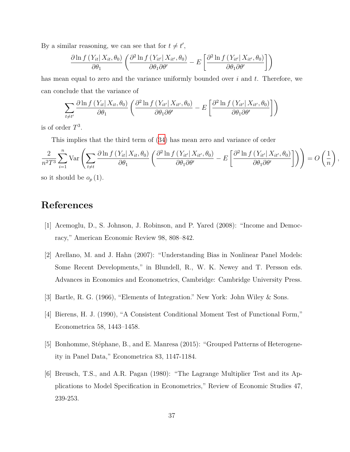By a similar reasoning, we can see that for  $t \neq t'$ ,

$$
\frac{\partial \ln f(Y_{it}|X_{it}, \theta_0)}{\partial \theta_1} \left( \frac{\partial^2 \ln f(Y_{it'}|X_{it'}, \theta_0)}{\partial \theta_1 \partial \theta'} - E \left[ \frac{\partial^2 \ln f(Y_{it'}|X_{it'}, \theta_0)}{\partial \theta_1 \partial \theta'} \right] \right)
$$

has mean equal to zero and the variance uniformly bounded over *i* and *t*. Therefore, we can conclude that the variance of

$$
\sum_{t \neq t'} \frac{\partial \ln f(Y_{it} | X_{it}, \theta_0)}{\partial \theta_1} \left( \frac{\partial^2 \ln f(Y_{it'} | X_{it'}, \theta_0)}{\partial \theta_1 \partial \theta'} - E \left[ \frac{\partial^2 \ln f(Y_{it'} | X_{it'}, \theta_0)}{\partial \theta_1 \partial \theta'} \right] \right)
$$

is of order *T* 3 .

This implies that the third term of [\(34\)](#page-35-0) has mean zero and variance of order

$$
\frac{2}{n^2 T^3} \sum_{i=1}^n \text{Var}\left(\sum_{t \neq t} \frac{\partial \ln f(Y_{it} | X_{it}, \theta_0)}{\partial \theta_1} \left(\frac{\partial^2 \ln f(Y_{it'} | X_{it'}, \theta_0)}{\partial \theta_1 \partial \theta'} - E\left[\frac{\partial^2 \ln f(Y_{it'} | X_{it'}, \theta_0)}{\partial \theta_1 \partial \theta'}\right]\right)\right) = O\left(\frac{1}{n}\right),
$$
 so it should be  $q_1(1)$ .

so it should be *o<sup>p</sup>* (1).

# **References**

- [1] Acemoglu, D., S. Johnson, J. Robinson, and P. Yared (2008): "Income and Democracy," American Economic Review 98, 808–842.
- [2] Arellano, M. and J. Hahn (2007): "Understanding Bias in Nonlinear Panel Models: Some Recent Developments," in Blundell, R., W. K. Newey and T. Persson eds. Advances in Economics and Econometrics, Cambridge: Cambridge University Press.
- [3] Bartle, R. G. (1966), "Elements of Integration." New York: John Wiley & Sons.
- [4] Bierens, H. J. (1990), "A Consistent Conditional Moment Test of Functional Form," Econometrica 58, 1443–1458.
- [5] Bonhomme, Stéphane, B., and E. Manresa (2015): "Grouped Patterns of Heterogeneity in Panel Data," Econometrica 83, 1147-1184.
- [6] Breusch, T.S., and A.R. Pagan (1980): "The Lagrange Multiplier Test and its Applications to Model Specification in Econometrics," Review of Economic Studies 47, 239-253.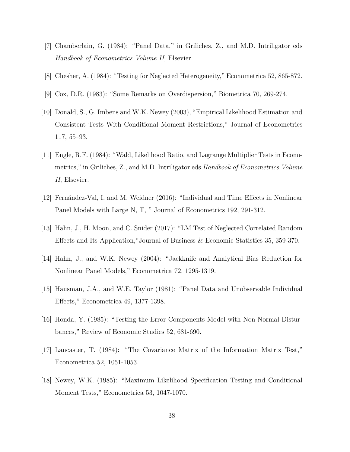- [7] Chamberlain, G. (1984): "Panel Data," in Griliches, Z., and M.D. Intriligator eds *Handbook of Econometrics Volume II*, Elsevier.
- [8] Chesher, A. (1984): "Testing for Neglected Heterogeneity," Econometrica 52, 865-872.
- [9] Cox, D.R. (1983): "Some Remarks on Overdispersion," Biometrica 70, 269-274.
- [10] Donald, S., G. Imbens and W.K. Newey (2003), "Empirical Likelihood Estimation and Consistent Tests With Conditional Moment Restrictions," Journal of Econometrics 117, 55–93.
- [11] Engle, R.F. (1984): "Wald, Likelihood Ratio, and Lagrange Multiplier Tests in Econometrics," in Griliches, Z., and M.D. Intriligator eds *Handbook of Econometrics Volume II*, Elsevier.
- [12] Fernández-Val, I. and M. Weidner (2016): "Individual and Time Effects in Nonlinear Panel Models with Large N, T, " Journal of Econometrics 192, 291-312.
- [13] Hahn, J., H. Moon, and C. Snider (2017): "LM Test of Neglected Correlated Random Effects and Its Application,"Journal of Business & Economic Statistics 35, 359-370.
- [14] Hahn, J., and W.K. Newey (2004): "Jackknife and Analytical Bias Reduction for Nonlinear Panel Models," Econometrica 72, 1295-1319.
- [15] Hausman, J.A., and W.E. Taylor (1981): "Panel Data and Unobservable Individual Effects," Econometrica 49, 1377-1398.
- [16] Honda, Y. (1985): "Testing the Error Components Model with Non-Normal Disturbances," Review of Economic Studies 52, 681-690.
- [17] Lancaster, T. (1984): "The Covariance Matrix of the Information Matrix Test," Econometrica 52, 1051-1053.
- [18] Newey, W.K. (1985): "Maximum Likelihood Specification Testing and Conditional Moment Tests," Econometrica 53, 1047-1070.